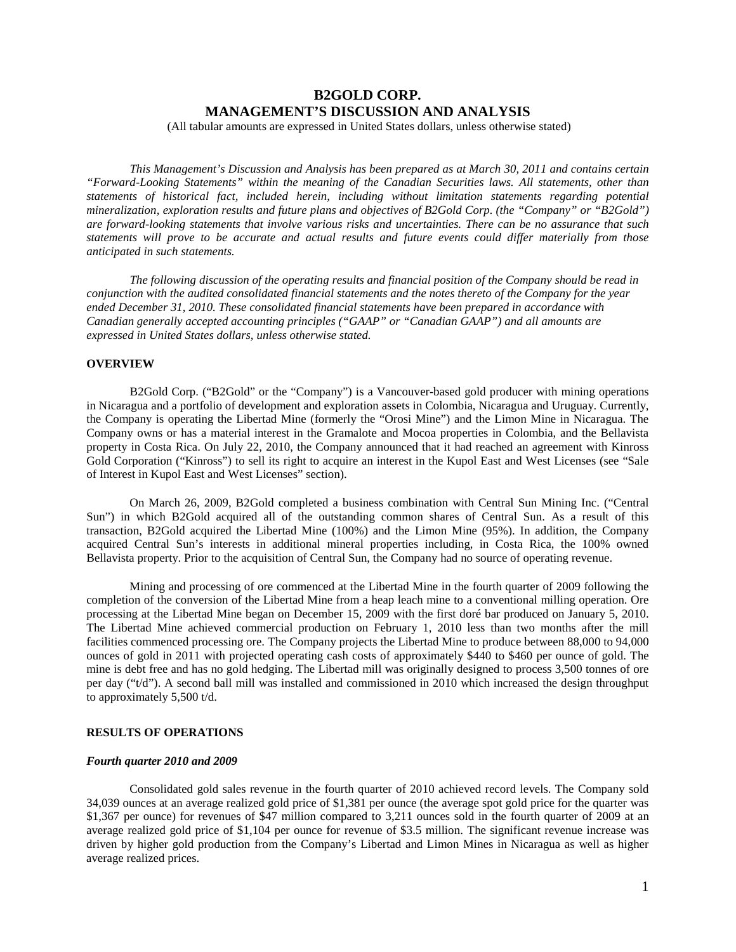# **B2GOLD CORP. MANAGEMENT'S DISCUSSION AND ANALYSIS**

(All tabular amounts are expressed in United States dollars, unless otherwise stated)

*This Management's Discussion and Analysis has been prepared as at March 30, 2011 and contains certain "Forward-Looking Statements" within the meaning of the Canadian Securities laws. All statements, other than statements of historical fact, included herein, including without limitation statements regarding potential mineralization, exploration results and future plans and objectives of B2Gold Corp. (the "Company" or "B2Gold") are forward-looking statements that involve various risks and uncertainties. There can be no assurance that such statements will prove to be accurate and actual results and future events could differ materially from those anticipated in such statements.*

*The following discussion of the operating results and financial position of the Company should be read in conjunction with the audited consolidated financial statements and the notes thereto of the Company for the year ended December 31, 2010. These consolidated financial statements have been prepared in accordance with Canadian generally accepted accounting principles ("GAAP" or "Canadian GAAP") and all amounts are expressed in United States dollars, unless otherwise stated.*

## **OVERVIEW**

B2Gold Corp. ("B2Gold" or the "Company") is a Vancouver-based gold producer with mining operations in Nicaragua and a portfolio of development and exploration assets in Colombia, Nicaragua and Uruguay. Currently, the Company is operating the Libertad Mine (formerly the "Orosi Mine") and the Limon Mine in Nicaragua. The Company owns or has a material interest in the Gramalote and Mocoa properties in Colombia, and the Bellavista property in Costa Rica. On July 22, 2010, the Company announced that it had reached an agreement with Kinross Gold Corporation ("Kinross") to sell its right to acquire an interest in the Kupol East and West Licenses (see "Sale of Interest in Kupol East and West Licenses" section).

On March 26, 2009, B2Gold completed a business combination with Central Sun Mining Inc. ("Central Sun") in which B2Gold acquired all of the outstanding common shares of Central Sun. As a result of this transaction, B2Gold acquired the Libertad Mine (100%) and the Limon Mine (95%). In addition, the Company acquired Central Sun's interests in additional mineral properties including, in Costa Rica, the 100% owned Bellavista property. Prior to the acquisition of Central Sun, the Company had no source of operating revenue.

Mining and processing of ore commenced at the Libertad Mine in the fourth quarter of 2009 following the completion of the conversion of the Libertad Mine from a heap leach mine to a conventional milling operation. Ore processing at the Libertad Mine began on December 15, 2009 with the first doré bar produced on January 5, 2010. The Libertad Mine achieved commercial production on February 1, 2010 less than two months after the mill facilities commenced processing ore. The Company projects the Libertad Mine to produce between 88,000 to 94,000 ounces of gold in 2011 with projected operating cash costs of approximately \$440 to \$460 per ounce of gold. The mine is debt free and has no gold hedging. The Libertad mill was originally designed to process 3,500 tonnes of ore per day ("t/d"). A second ball mill was installed and commissioned in 2010 which increased the design throughput to approximately 5,500 t/d.

## **RESULTS OF OPERATIONS**

#### *Fourth quarter 2010 and 2009*

Consolidated gold sales revenue in the fourth quarter of 2010 achieved record levels. The Company sold 34,039 ounces at an average realized gold price of \$1,381 per ounce (the average spot gold price for the quarter was \$1,367 per ounce) for revenues of \$47 million compared to 3,211 ounces sold in the fourth quarter of 2009 at an average realized gold price of \$1,104 per ounce for revenue of \$3.5 million. The significant revenue increase was driven by higher gold production from the Company's Libertad and Limon Mines in Nicaragua as well as higher average realized prices.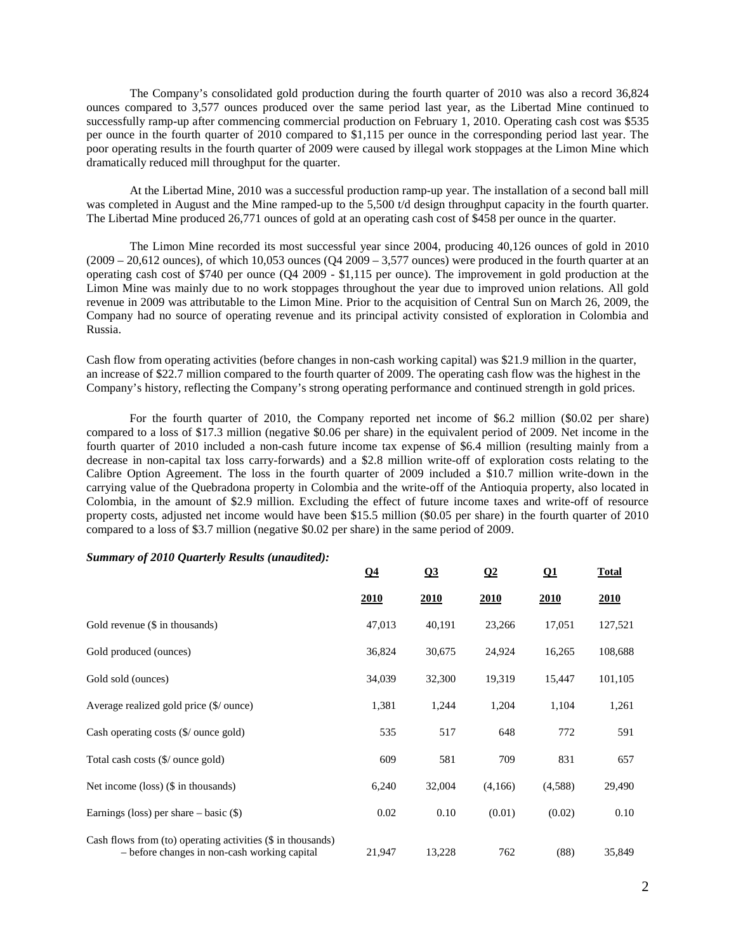The Company's consolidated gold production during the fourth quarter of 2010 was also a record 36,824 ounces compared to 3,577 ounces produced over the same period last year, as the Libertad Mine continued to successfully ramp-up after commencing commercial production on February 1, 2010. Operating cash cost was \$535 per ounce in the fourth quarter of 2010 compared to \$1,115 per ounce in the corresponding period last year. The poor operating results in the fourth quarter of 2009 were caused by illegal work stoppages at the Limon Mine which dramatically reduced mill throughput for the quarter.

At the Libertad Mine, 2010 was a successful production ramp-up year. The installation of a second ball mill was completed in August and the Mine ramped-up to the 5,500 t/d design throughput capacity in the fourth quarter. The Libertad Mine produced 26,771 ounces of gold at an operating cash cost of \$458 per ounce in the quarter.

The Limon Mine recorded its most successful year since 2004, producing 40,126 ounces of gold in 2010  $(2009 - 20.612$  ounces), of which 10,053 ounces  $(O4\ 2009 - 3.577$  ounces) were produced in the fourth quarter at an operating cash cost of \$740 per ounce (Q4 2009 - \$1,115 per ounce). The improvement in gold production at the Limon Mine was mainly due to no work stoppages throughout the year due to improved union relations. All gold revenue in 2009 was attributable to the Limon Mine. Prior to the acquisition of Central Sun on March 26, 2009, the Company had no source of operating revenue and its principal activity consisted of exploration in Colombia and Russia.

Cash flow from operating activities (before changes in non-cash working capital) was \$21.9 million in the quarter, an increase of \$22.7 million compared to the fourth quarter of 2009. The operating cash flow was the highest in the Company's history, reflecting the Company's strong operating performance and continued strength in gold prices.

For the fourth quarter of 2010, the Company reported net income of \$6.2 million (\$0.02 per share) compared to a loss of \$17.3 million (negative \$0.06 per share) in the equivalent period of 2009. Net income in the fourth quarter of 2010 included a non-cash future income tax expense of \$6.4 million (resulting mainly from a decrease in non-capital tax loss carry-forwards) and a \$2.8 million write-off of exploration costs relating to the Calibre Option Agreement. The loss in the fourth quarter of 2009 included a \$10.7 million write-down in the carrying value of the Quebradona property in Colombia and the write-off of the Antioquia property, also located in Colombia, in the amount of \$2.9 million. Excluding the effect of future income taxes and write-off of resource property costs, adjusted net income would have been \$15.5 million (\$0.05 per share) in the fourth quarter of 2010 compared to a loss of \$3.7 million (negative \$0.02 per share) in the same period of 2009.

|                                                                                                               | $\Omega$ 4  | Q3          | $\Omega$    | $\Omega$ 1  | <b>Total</b> |
|---------------------------------------------------------------------------------------------------------------|-------------|-------------|-------------|-------------|--------------|
|                                                                                                               | <u>2010</u> | <b>2010</b> | <u>2010</u> | <u>2010</u> | <u>2010</u>  |
| Gold revenue (\$ in thousands)                                                                                | 47,013      | 40,191      | 23,266      | 17,051      | 127,521      |
| Gold produced (ounces)                                                                                        | 36,824      | 30,675      | 24,924      | 16,265      | 108,688      |
| Gold sold (ounces)                                                                                            | 34,039      | 32,300      | 19,319      | 15,447      | 101,105      |
| Average realized gold price (\$/ ounce)                                                                       | 1,381       | 1,244       | 1,204       | 1,104       | 1,261        |
| Cash operating costs $(\frac{6}{ }$ ounce gold)                                                               | 535         | 517         | 648         | 772         | 591          |
| Total cash costs (\$/ ounce gold)                                                                             | 609         | 581         | 709         | 831         | 657          |
| Net income $(\text{loss})$ (\$ in thousands)                                                                  | 6,240       | 32,004      | (4,166)     | (4,588)     | 29,490       |
| Earnings (loss) per share $-$ basic $(\$)$                                                                    | 0.02        | 0.10        | (0.01)      | (0.02)      | 0.10         |
| Cash flows from (to) operating activities $(\$$ in thousands)<br>- before changes in non-cash working capital | 21,947      | 13,228      | 762         | (88)        | 35,849       |

#### *Summary of 2010 Quarterly Results (unaudited):*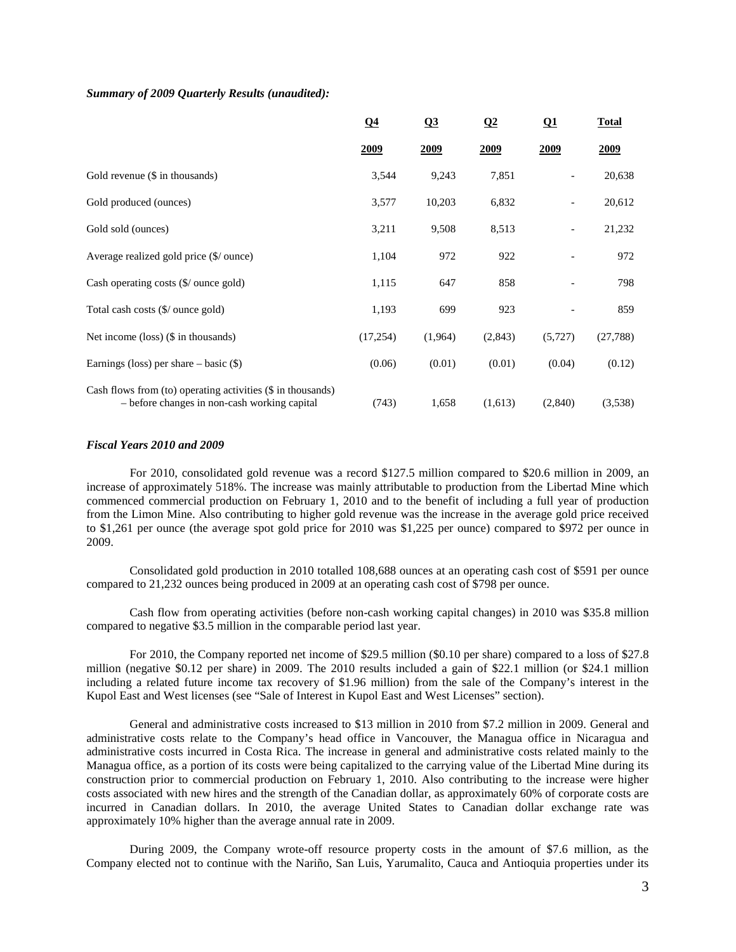## *Summary of 2009 Quarterly Results (unaudited):*

|                                                                                                               | $\Omega$ 4  | Q <sub>3</sub> | $\Omega$    | $\Omega$                 | <b>Total</b> |
|---------------------------------------------------------------------------------------------------------------|-------------|----------------|-------------|--------------------------|--------------|
|                                                                                                               | <u>2009</u> | <u>2009</u>    | <u>2009</u> | <u>2009</u>              | <u>2009</u>  |
| Gold revenue (\$ in thousands)                                                                                | 3,544       | 9,243          | 7,851       |                          | 20,638       |
| Gold produced (ounces)                                                                                        | 3,577       | 10,203         | 6,832       | $\overline{\phantom{a}}$ | 20,612       |
| Gold sold (ounces)                                                                                            | 3,211       | 9,508          | 8,513       | $\overline{\phantom{a}}$ | 21,232       |
| Average realized gold price (\$/ ounce)                                                                       | 1,104       | 972            | 922         |                          | 972          |
| Cash operating costs $(\frac{6}{\sqrt{2}})$ ounce gold)                                                       | 1,115       | 647            | 858         |                          | 798          |
| Total cash costs (\$/ ounce gold)                                                                             | 1,193       | 699            | 923         |                          | 859          |
| Net income $(\text{loss})$ (\$ in thousands)                                                                  | (17,254)    | (1,964)        | (2,843)     | (5, 727)                 | (27, 788)    |
| Earnings (loss) per share $-$ basic $(\$)$                                                                    | (0.06)      | (0.01)         | (0.01)      | (0.04)                   | (0.12)       |
| Cash flows from (to) operating activities $(\$$ in thousands)<br>- before changes in non-cash working capital | (743)       | 1,658          | (1,613)     | (2,840)                  | (3,538)      |

## *Fiscal Years 2010 and 2009*

For 2010, consolidated gold revenue was a record \$127.5 million compared to \$20.6 million in 2009, an increase of approximately 518%. The increase was mainly attributable to production from the Libertad Mine which commenced commercial production on February 1, 2010 and to the benefit of including a full year of production from the Limon Mine. Also contributing to higher gold revenue was the increase in the average gold price received to \$1,261 per ounce (the average spot gold price for 2010 was \$1,225 per ounce) compared to \$972 per ounce in 2009.

Consolidated gold production in 2010 totalled 108,688 ounces at an operating cash cost of \$591 per ounce compared to 21,232 ounces being produced in 2009 at an operating cash cost of \$798 per ounce.

Cash flow from operating activities (before non-cash working capital changes) in 2010 was \$35.8 million compared to negative \$3.5 million in the comparable period last year.

For 2010, the Company reported net income of \$29.5 million (\$0.10 per share) compared to a loss of \$27.8 million (negative \$0.12 per share) in 2009. The 2010 results included a gain of \$22.1 million (or \$24.1 million including a related future income tax recovery of \$1.96 million) from the sale of the Company's interest in the Kupol East and West licenses (see "Sale of Interest in Kupol East and West Licenses" section).

General and administrative costs increased to \$13 million in 2010 from \$7.2 million in 2009. General and administrative costs relate to the Company's head office in Vancouver, the Managua office in Nicaragua and administrative costs incurred in Costa Rica. The increase in general and administrative costs related mainly to the Managua office, as a portion of its costs were being capitalized to the carrying value of the Libertad Mine during its construction prior to commercial production on February 1, 2010. Also contributing to the increase were higher costs associated with new hires and the strength of the Canadian dollar, as approximately 60% of corporate costs are incurred in Canadian dollars. In 2010, the average United States to Canadian dollar exchange rate was approximately 10% higher than the average annual rate in 2009.

During 2009, the Company wrote-off resource property costs in the amount of \$7.6 million, as the Company elected not to continue with the Nariño, San Luis, Yarumalito, Cauca and Antioquia properties under its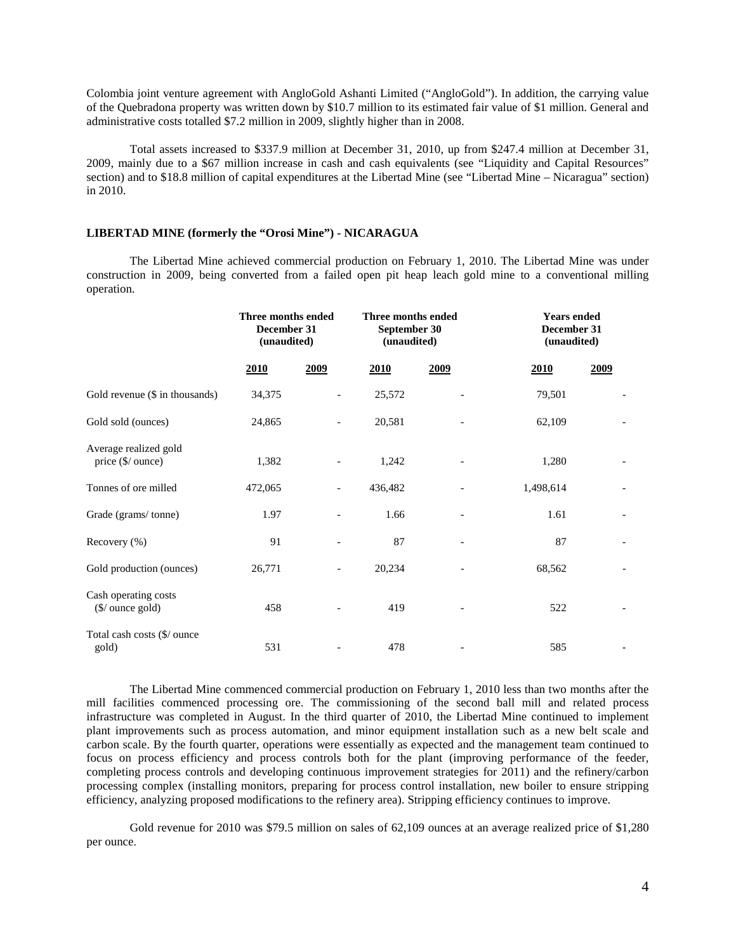Colombia joint venture agreement with AngloGold Ashanti Limited ("AngloGold"). In addition, the carrying value of the Quebradona property was written down by \$10.7 million to its estimated fair value of \$1 million. General and administrative costs totalled \$7.2 million in 2009, slightly higher than in 2008.

Total assets increased to \$337.9 million at December 31, 2010, up from \$247.4 million at December 31, 2009, mainly due to a \$67 million increase in cash and cash equivalents (see "Liquidity and Capital Resources" section) and to \$18.8 million of capital expenditures at the Libertad Mine (see "Libertad Mine – Nicaragua" section) in 2010.

## **LIBERTAD MINE (formerly the "Orosi Mine") - NICARAGUA**

The Libertad Mine achieved commercial production on February 1, 2010. The Libertad Mine was under construction in 2009, being converted from a failed open pit heap leach gold mine to a conventional milling operation.

|                                                     | Three months ended<br>December 31<br>(unaudited) |      | Three months ended<br>September 30<br>(unaudited) |      | <b>Years</b> ended<br>December 31<br>(unaudited) |      |
|-----------------------------------------------------|--------------------------------------------------|------|---------------------------------------------------|------|--------------------------------------------------|------|
|                                                     | 2010                                             | 2009 | 2010                                              | 2009 | 2010                                             | 2009 |
| Gold revenue (\$ in thousands)                      | 34,375                                           |      | 25,572                                            |      | 79,501                                           |      |
| Gold sold (ounces)                                  | 24,865                                           |      | 20,581                                            |      | 62,109                                           |      |
| Average realized gold<br>price (\$/ ounce)          | 1,382                                            |      | 1,242                                             |      | 1,280                                            |      |
| Tonnes of ore milled                                | 472,065                                          |      | 436,482                                           |      | 1,498,614                                        |      |
| Grade (grams/tonne)                                 | 1.97                                             |      | 1.66                                              |      | 1.61                                             |      |
| Recovery (%)                                        | 91                                               |      | 87                                                |      | 87                                               |      |
| Gold production (ounces)                            | 26,771                                           |      | 20,234                                            |      | 68,562                                           |      |
| Cash operating costs<br>$(\frac{1}{2})$ ounce gold) | 458                                              |      | 419                                               |      | 522                                              |      |
| Total cash costs (\$/ ounce<br>gold)                | 531                                              |      | 478                                               |      | 585                                              |      |

The Libertad Mine commenced commercial production on February 1, 2010 less than two months after the mill facilities commenced processing ore. The commissioning of the second ball mill and related process infrastructure was completed in August. In the third quarter of 2010, the Libertad Mine continued to implement plant improvements such as process automation, and minor equipment installation such as a new belt scale and carbon scale. By the fourth quarter, operations were essentially as expected and the management team continued to focus on process efficiency and process controls both for the plant (improving performance of the feeder, completing process controls and developing continuous improvement strategies for 2011) and the refinery/carbon processing complex (installing monitors, preparing for process control installation, new boiler to ensure stripping efficiency, analyzing proposed modifications to the refinery area). Stripping efficiency continues to improve.

Gold revenue for 2010 was \$79.5 million on sales of 62,109 ounces at an average realized price of \$1,280 per ounce.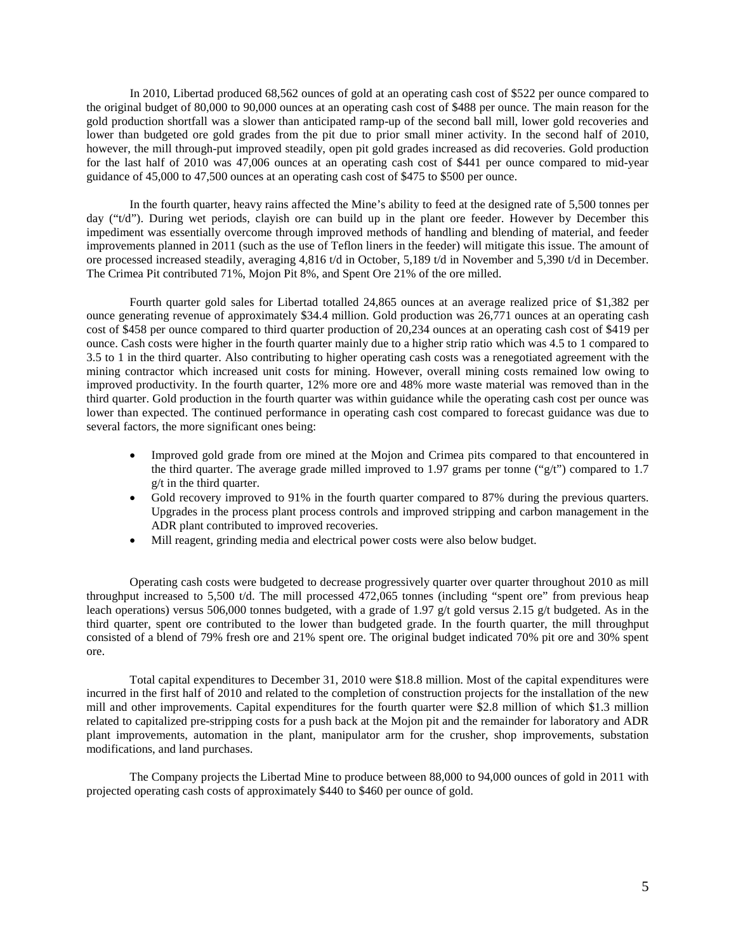In 2010, Libertad produced 68,562 ounces of gold at an operating cash cost of \$522 per ounce compared to the original budget of 80,000 to 90,000 ounces at an operating cash cost of \$488 per ounce. The main reason for the gold production shortfall was a slower than anticipated ramp-up of the second ball mill, lower gold recoveries and lower than budgeted ore gold grades from the pit due to prior small miner activity. In the second half of 2010, however, the mill through-put improved steadily, open pit gold grades increased as did recoveries. Gold production for the last half of 2010 was 47,006 ounces at an operating cash cost of \$441 per ounce compared to mid-year guidance of 45,000 to 47,500 ounces at an operating cash cost of \$475 to \$500 per ounce.

In the fourth quarter, heavy rains affected the Mine's ability to feed at the designed rate of 5,500 tonnes per day ("t/d"). During wet periods, clayish ore can build up in the plant ore feeder. However by December this impediment was essentially overcome through improved methods of handling and blending of material, and feeder improvements planned in 2011 (such as the use of Teflon liners in the feeder) will mitigate this issue. The amount of ore processed increased steadily, averaging 4,816 t/d in October, 5,189 t/d in November and 5,390 t/d in December. The Crimea Pit contributed 71%, Mojon Pit 8%, and Spent Ore 21% of the ore milled.

Fourth quarter gold sales for Libertad totalled 24,865 ounces at an average realized price of \$1,382 per ounce generating revenue of approximately \$34.4 million. Gold production was 26,771 ounces at an operating cash cost of \$458 per ounce compared to third quarter production of 20,234 ounces at an operating cash cost of \$419 per ounce. Cash costs were higher in the fourth quarter mainly due to a higher strip ratio which was 4.5 to 1 compared to 3.5 to 1 in the third quarter. Also contributing to higher operating cash costs was a renegotiated agreement with the mining contractor which increased unit costs for mining. However, overall mining costs remained low owing to improved productivity. In the fourth quarter, 12% more ore and 48% more waste material was removed than in the third quarter. Gold production in the fourth quarter was within guidance while the operating cash cost per ounce was lower than expected. The continued performance in operating cash cost compared to forecast guidance was due to several factors, the more significant ones being:

- Improved gold grade from ore mined at the Mojon and Crimea pits compared to that encountered in the third quarter. The average grade milled improved to 1.97 grams per tonne ("g/t") compared to 1.7 g/t in the third quarter.
- Gold recovery improved to 91% in the fourth quarter compared to 87% during the previous quarters. Upgrades in the process plant process controls and improved stripping and carbon management in the ADR plant contributed to improved recoveries.
- Mill reagent, grinding media and electrical power costs were also below budget.

Operating cash costs were budgeted to decrease progressively quarter over quarter throughout 2010 as mill throughput increased to 5,500 t/d. The mill processed 472,065 tonnes (including "spent ore" from previous heap leach operations) versus 506,000 tonnes budgeted, with a grade of 1.97 g/t gold versus 2.15 g/t budgeted. As in the third quarter, spent ore contributed to the lower than budgeted grade. In the fourth quarter, the mill throughput consisted of a blend of 79% fresh ore and 21% spent ore. The original budget indicated 70% pit ore and 30% spent ore.

Total capital expenditures to December 31, 2010 were \$18.8 million. Most of the capital expenditures were incurred in the first half of 2010 and related to the completion of construction projects for the installation of the new mill and other improvements. Capital expenditures for the fourth quarter were \$2.8 million of which \$1.3 million related to capitalized pre-stripping costs for a push back at the Mojon pit and the remainder for laboratory and ADR plant improvements, automation in the plant, manipulator arm for the crusher, shop improvements, substation modifications, and land purchases.

The Company projects the Libertad Mine to produce between 88,000 to 94,000 ounces of gold in 2011 with projected operating cash costs of approximately \$440 to \$460 per ounce of gold.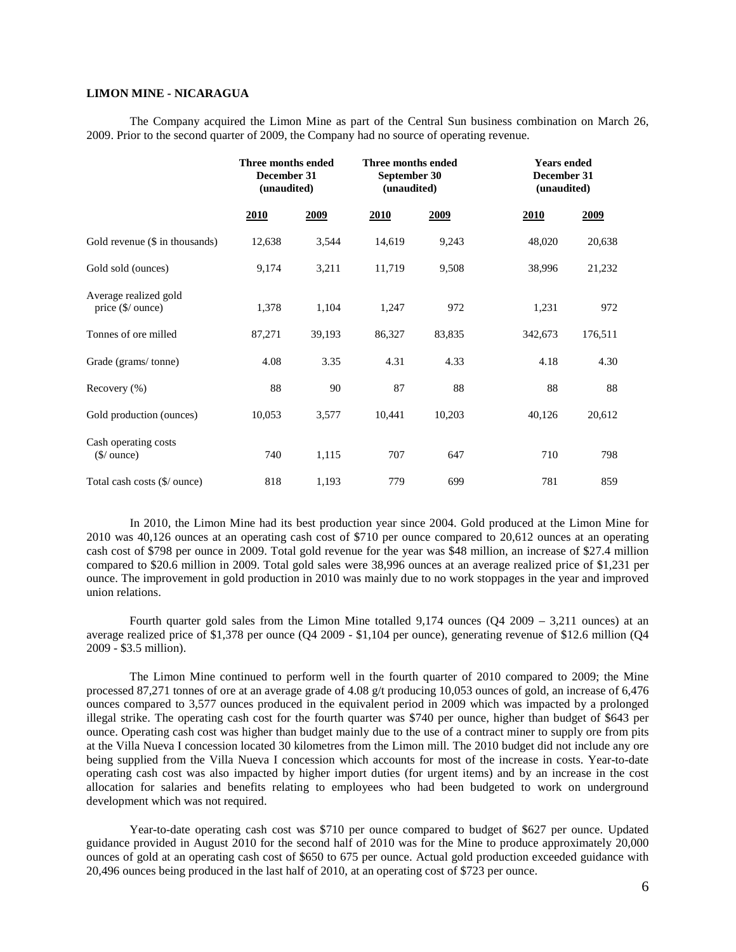## **LIMON MINE - NICARAGUA**

The Company acquired the Limon Mine as part of the Central Sun business combination on March 26, 2009. Prior to the second quarter of 2009, the Company had no source of operating revenue.

|                                                       | Three months ended<br>December 31<br>(unaudited) |        | Three months ended<br>September 30<br>(unaudited) |        | <b>Years ended</b><br>December 31<br>(unaudited) |             |
|-------------------------------------------------------|--------------------------------------------------|--------|---------------------------------------------------|--------|--------------------------------------------------|-------------|
|                                                       | <u>2010</u>                                      | 2009   | <u>2010</u>                                       | 2009   | 2010                                             | <u>2009</u> |
| Gold revenue $(\$$ in thousands)                      | 12,638                                           | 3,544  | 14,619                                            | 9,243  | 48,020                                           | 20,638      |
| Gold sold (ounces)                                    | 9,174                                            | 3,211  | 11,719                                            | 9,508  | 38,996                                           | 21,232      |
| Average realized gold<br>price (\$/ ounce)            | 1,378                                            | 1,104  | 1,247                                             | 972    | 1,231                                            | 972         |
| Tonnes of ore milled                                  | 87,271                                           | 39,193 | 86,327                                            | 83,835 | 342,673                                          | 176,511     |
| Grade (grams/tonne)                                   | 4.08                                             | 3.35   | 4.31                                              | 4.33   | 4.18                                             | 4.30        |
| Recovery $(\% )$                                      | 88                                               | 90     | 87                                                | 88     | 88                                               | 88          |
| Gold production (ounces)                              | 10,053                                           | 3,577  | 10,441                                            | 10,203 | 40,126                                           | 20,612      |
| Cash operating costs<br>$(\frac{\sqrt{2}}{2})$ ounce) | 740                                              | 1,115  | 707                                               | 647    | 710                                              | 798         |
| Total cash costs (\$/ ounce)                          | 818                                              | 1,193  | 779                                               | 699    | 781                                              | 859         |

In 2010, the Limon Mine had its best production year since 2004. Gold produced at the Limon Mine for 2010 was 40,126 ounces at an operating cash cost of \$710 per ounce compared to 20,612 ounces at an operating cash cost of \$798 per ounce in 2009. Total gold revenue for the year was \$48 million, an increase of \$27.4 million compared to \$20.6 million in 2009. Total gold sales were 38,996 ounces at an average realized price of \$1,231 per ounce. The improvement in gold production in 2010 was mainly due to no work stoppages in the year and improved union relations.

Fourth quarter gold sales from the Limon Mine totalled 9,174 ounces (Q4 2009 – 3,211 ounces) at an average realized price of \$1,378 per ounce (Q4 2009 - \$1,104 per ounce), generating revenue of \$12.6 million (Q4 2009 - \$3.5 million).

The Limon Mine continued to perform well in the fourth quarter of 2010 compared to 2009; the Mine processed 87,271 tonnes of ore at an average grade of 4.08 g/t producing 10,053 ounces of gold, an increase of 6,476 ounces compared to 3,577 ounces produced in the equivalent period in 2009 which was impacted by a prolonged illegal strike. The operating cash cost for the fourth quarter was \$740 per ounce, higher than budget of \$643 per ounce. Operating cash cost was higher than budget mainly due to the use of a contract miner to supply ore from pits at the Villa Nueva I concession located 30 kilometres from the Limon mill. The 2010 budget did not include any ore being supplied from the Villa Nueva I concession which accounts for most of the increase in costs. Year-to-date operating cash cost was also impacted by higher import duties (for urgent items) and by an increase in the cost allocation for salaries and benefits relating to employees who had been budgeted to work on underground development which was not required.

Year-to-date operating cash cost was \$710 per ounce compared to budget of \$627 per ounce. Updated guidance provided in August 2010 for the second half of 2010 was for the Mine to produce approximately 20,000 ounces of gold at an operating cash cost of \$650 to 675 per ounce. Actual gold production exceeded guidance with 20,496 ounces being produced in the last half of 2010, at an operating cost of \$723 per ounce.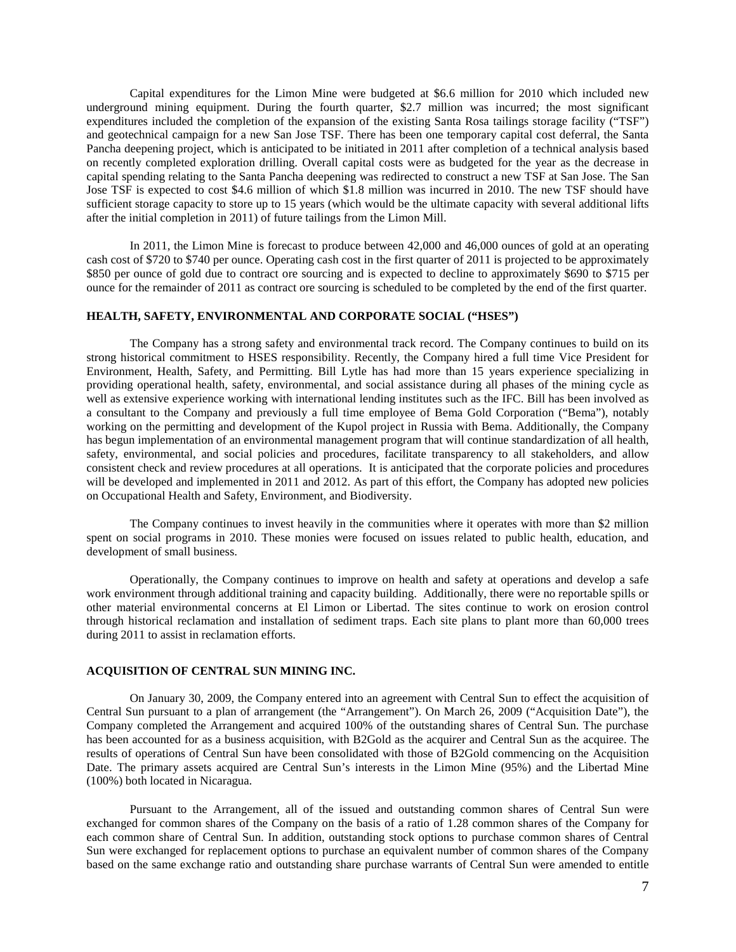Capital expenditures for the Limon Mine were budgeted at \$6.6 million for 2010 which included new underground mining equipment. During the fourth quarter, \$2.7 million was incurred; the most significant expenditures included the completion of the expansion of the existing Santa Rosa tailings storage facility ("TSF") and geotechnical campaign for a new San Jose TSF. There has been one temporary capital cost deferral, the Santa Pancha deepening project, which is anticipated to be initiated in 2011 after completion of a technical analysis based on recently completed exploration drilling. Overall capital costs were as budgeted for the year as the decrease in capital spending relating to the Santa Pancha deepening was redirected to construct a new TSF at San Jose. The San Jose TSF is expected to cost \$4.6 million of which \$1.8 million was incurred in 2010. The new TSF should have sufficient storage capacity to store up to 15 years (which would be the ultimate capacity with several additional lifts after the initial completion in 2011) of future tailings from the Limon Mill.

In 2011, the Limon Mine is forecast to produce between 42,000 and 46,000 ounces of gold at an operating cash cost of \$720 to \$740 per ounce. Operating cash cost in the first quarter of 2011 is projected to be approximately \$850 per ounce of gold due to contract ore sourcing and is expected to decline to approximately \$690 to \$715 per ounce for the remainder of 2011 as contract ore sourcing is scheduled to be completed by the end of the first quarter.

## **HEALTH, SAFETY, ENVIRONMENTAL AND CORPORATE SOCIAL ("HSES")**

The Company has a strong safety and environmental track record. The Company continues to build on its strong historical commitment to HSES responsibility. Recently, the Company hired a full time Vice President for Environment, Health, Safety, and Permitting. Bill Lytle has had more than 15 years experience specializing in providing operational health, safety, environmental, and social assistance during all phases of the mining cycle as well as extensive experience working with international lending institutes such as the IFC. Bill has been involved as a consultant to the Company and previously a full time employee of Bema Gold Corporation ("Bema"), notably working on the permitting and development of the Kupol project in Russia with Bema. Additionally, the Company has begun implementation of an environmental management program that will continue standardization of all health, safety, environmental, and social policies and procedures, facilitate transparency to all stakeholders, and allow consistent check and review procedures at all operations. It is anticipated that the corporate policies and procedures will be developed and implemented in 2011 and 2012. As part of this effort, the Company has adopted new policies on Occupational Health and Safety, Environment, and Biodiversity.

The Company continues to invest heavily in the communities where it operates with more than \$2 million spent on social programs in 2010. These monies were focused on issues related to public health, education, and development of small business.

Operationally, the Company continues to improve on health and safety at operations and develop a safe work environment through additional training and capacity building. Additionally, there were no reportable spills or other material environmental concerns at El Limon or Libertad. The sites continue to work on erosion control through historical reclamation and installation of sediment traps. Each site plans to plant more than 60,000 trees during 2011 to assist in reclamation efforts.

#### **ACQUISITION OF CENTRAL SUN MINING INC.**

On January 30, 2009, the Company entered into an agreement with Central Sun to effect the acquisition of Central Sun pursuant to a plan of arrangement (the "Arrangement"). On March 26, 2009 ("Acquisition Date"), the Company completed the Arrangement and acquired 100% of the outstanding shares of Central Sun. The purchase has been accounted for as a business acquisition, with B2Gold as the acquirer and Central Sun as the acquiree. The results of operations of Central Sun have been consolidated with those of B2Gold commencing on the Acquisition Date. The primary assets acquired are Central Sun's interests in the Limon Mine (95%) and the Libertad Mine (100%) both located in Nicaragua.

Pursuant to the Arrangement, all of the issued and outstanding common shares of Central Sun were exchanged for common shares of the Company on the basis of a ratio of 1.28 common shares of the Company for each common share of Central Sun. In addition, outstanding stock options to purchase common shares of Central Sun were exchanged for replacement options to purchase an equivalent number of common shares of the Company based on the same exchange ratio and outstanding share purchase warrants of Central Sun were amended to entitle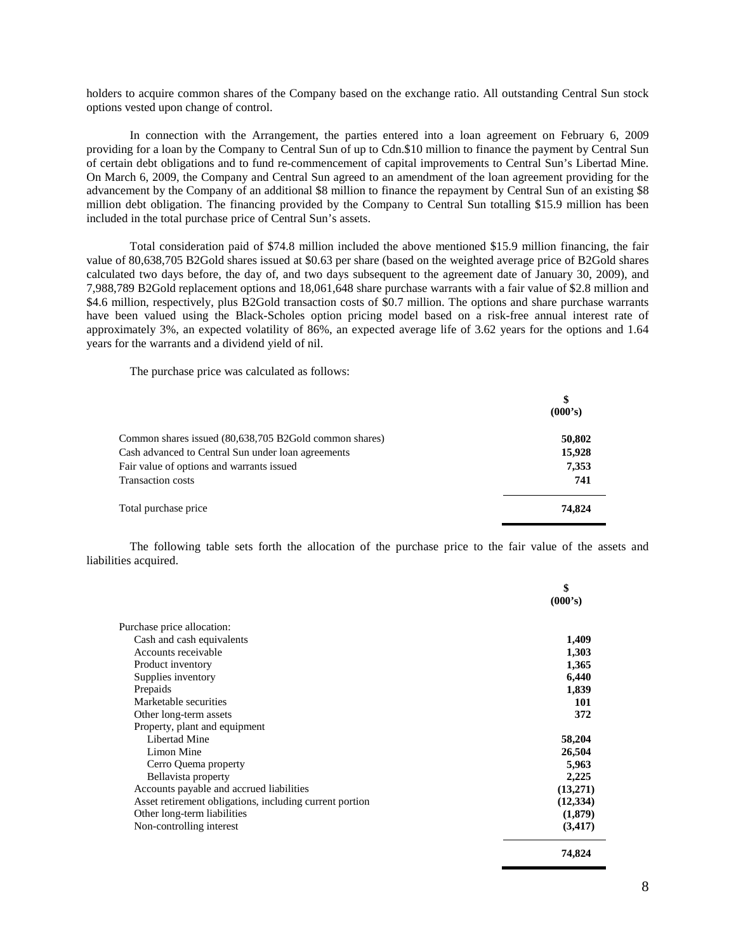holders to acquire common shares of the Company based on the exchange ratio. All outstanding Central Sun stock options vested upon change of control.

In connection with the Arrangement, the parties entered into a loan agreement on February 6, 2009 providing for a loan by the Company to Central Sun of up to Cdn.\$10 million to finance the payment by Central Sun of certain debt obligations and to fund re-commencement of capital improvements to Central Sun's Libertad Mine. On March 6, 2009, the Company and Central Sun agreed to an amendment of the loan agreement providing for the advancement by the Company of an additional \$8 million to finance the repayment by Central Sun of an existing \$8 million debt obligation. The financing provided by the Company to Central Sun totalling \$15.9 million has been included in the total purchase price of Central Sun's assets.

Total consideration paid of \$74.8 million included the above mentioned \$15.9 million financing, the fair value of 80,638,705 B2Gold shares issued at \$0.63 per share (based on the weighted average price of B2Gold shares calculated two days before, the day of, and two days subsequent to the agreement date of January 30, 2009), and 7,988,789 B2Gold replacement options and 18,061,648 share purchase warrants with a fair value of \$2.8 million and \$4.6 million, respectively, plus B2Gold transaction costs of \$0.7 million. The options and share purchase warrants have been valued using the Black-Scholes option pricing model based on a risk-free annual interest rate of approximately 3%, an expected volatility of 86%, an expected average life of 3.62 years for the options and 1.64 years for the warrants and a dividend yield of nil.

The purchase price was calculated as follows:

|                                                        | \$<br>(000's) |
|--------------------------------------------------------|---------------|
| Common shares issued (80,638,705 B2Gold common shares) | 50,802        |
| Cash advanced to Central Sun under loan agreements     | 15,928        |
| Fair value of options and warrants issued              | 7,353         |
| Transaction costs                                      | 741           |
| Total purchase price                                   | 74,824        |

The following table sets forth the allocation of the purchase price to the fair value of the assets and liabilities acquired.

|                                                         | \$<br>(000's) |
|---------------------------------------------------------|---------------|
| Purchase price allocation:                              |               |
| Cash and cash equivalents                               | 1,409         |
| Accounts receivable                                     | 1,303         |
| Product inventory                                       | 1,365         |
| Supplies inventory                                      | 6,440         |
| Prepaids                                                | 1,839         |
| Marketable securities                                   | 101           |
| Other long-term assets                                  | 372           |
| Property, plant and equipment                           |               |
| Libertad Mine                                           | 58,204        |
| Limon Mine                                              | 26,504        |
| Cerro Quema property                                    | 5,963         |
| Bellavista property                                     | 2,225         |
| Accounts payable and accrued liabilities                | (13,271)      |
| Asset retirement obligations, including current portion | (12, 334)     |
| Other long-term liabilities                             | (1,879)       |
| Non-controlling interest                                | (3, 417)      |
|                                                         | 74,824        |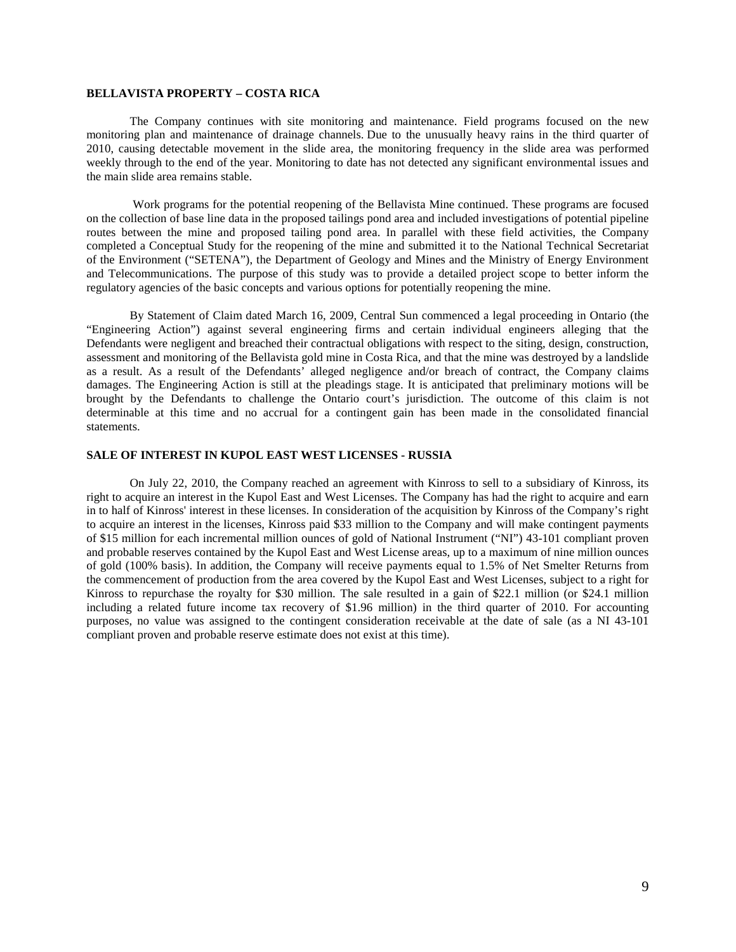## **BELLAVISTA PROPERTY – COSTA RICA**

The Company continues with site monitoring and maintenance. Field programs focused on the new monitoring plan and maintenance of drainage channels. Due to the unusually heavy rains in the third quarter of 2010, causing detectable movement in the slide area, the monitoring frequency in the slide area was performed weekly through to the end of the year. Monitoring to date has not detected any significant environmental issues and the main slide area remains stable.

Work programs for the potential reopening of the Bellavista Mine continued. These programs are focused on the collection of base line data in the proposed tailings pond area and included investigations of potential pipeline routes between the mine and proposed tailing pond area. In parallel with these field activities, the Company completed a Conceptual Study for the reopening of the mine and submitted it to the National Technical Secretariat of the Environment ("SETENA"), the Department of Geology and Mines and the Ministry of Energy Environment and Telecommunications. The purpose of this study was to provide a detailed project scope to better inform the regulatory agencies of the basic concepts and various options for potentially reopening the mine.

By Statement of Claim dated March 16, 2009, Central Sun commenced a legal proceeding in Ontario (the "Engineering Action") against several engineering firms and certain individual engineers alleging that the Defendants were negligent and breached their contractual obligations with respect to the siting, design, construction, assessment and monitoring of the Bellavista gold mine in Costa Rica, and that the mine was destroyed by a landslide as a result. As a result of the Defendants' alleged negligence and/or breach of contract, the Company claims damages. The Engineering Action is still at the pleadings stage. It is anticipated that preliminary motions will be brought by the Defendants to challenge the Ontario court's jurisdiction. The outcome of this claim is not determinable at this time and no accrual for a contingent gain has been made in the consolidated financial statements.

### **SALE OF INTEREST IN KUPOL EAST WEST LICENSES - RUSSIA**

On July 22, 2010, the Company reached an agreement with Kinross to sell to a subsidiary of Kinross, its right to acquire an interest in the Kupol East and West Licenses. The Company has had the right to acquire and earn in to half of Kinross' interest in these licenses. In consideration of the acquisition by Kinross of the Company's right to acquire an interest in the licenses, Kinross paid \$33 million to the Company and will make contingent payments of \$15 million for each incremental million ounces of gold of National Instrument ("NI") 43-101 compliant proven and probable reserves contained by the Kupol East and West License areas, up to a maximum of nine million ounces of gold (100% basis). In addition, the Company will receive payments equal to 1.5% of Net Smelter Returns from the commencement of production from the area covered by the Kupol East and West Licenses, subject to a right for Kinross to repurchase the royalty for \$30 million. The sale resulted in a gain of \$22.1 million (or \$24.1 million including a related future income tax recovery of \$1.96 million) in the third quarter of 2010. For accounting purposes, no value was assigned to the contingent consideration receivable at the date of sale (as a NI 43-101 compliant proven and probable reserve estimate does not exist at this time).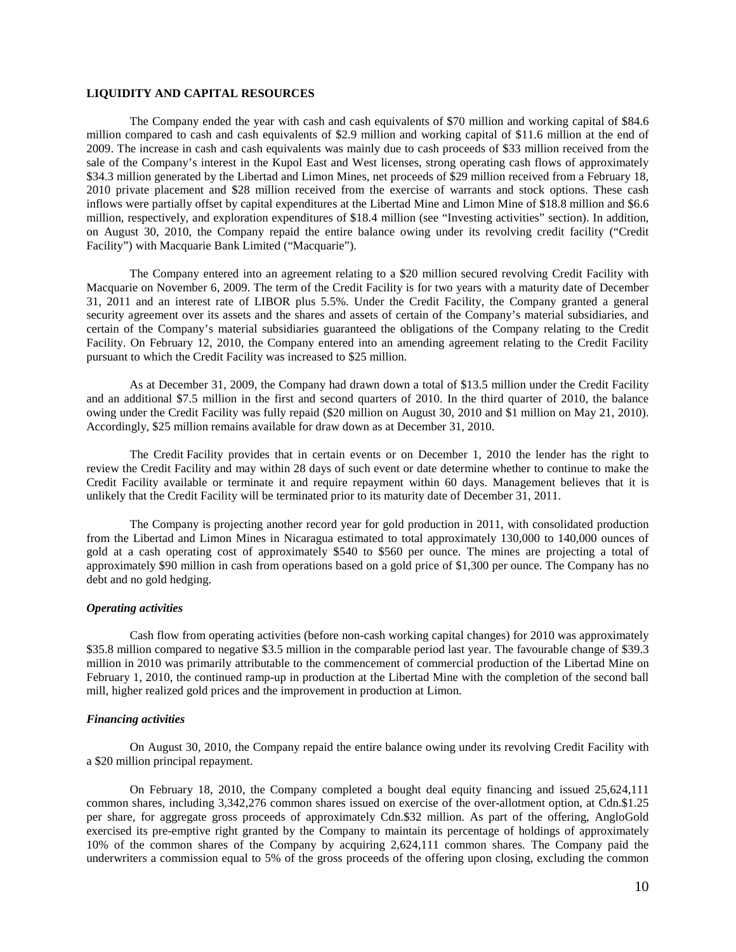## **LIQUIDITY AND CAPITAL RESOURCES**

The Company ended the year with cash and cash equivalents of \$70 million and working capital of \$84.6 million compared to cash and cash equivalents of \$2.9 million and working capital of \$11.6 million at the end of 2009. The increase in cash and cash equivalents was mainly due to cash proceeds of \$33 million received from the sale of the Company's interest in the Kupol East and West licenses, strong operating cash flows of approximately \$34.3 million generated by the Libertad and Limon Mines, net proceeds of \$29 million received from a February 18, 2010 private placement and \$28 million received from the exercise of warrants and stock options. These cash inflows were partially offset by capital expenditures at the Libertad Mine and Limon Mine of \$18.8 million and \$6.6 million, respectively, and exploration expenditures of \$18.4 million (see "Investing activities" section). In addition, on August 30, 2010, the Company repaid the entire balance owing under its revolving credit facility ("Credit Facility") with Macquarie Bank Limited ("Macquarie").

The Company entered into an agreement relating to a \$20 million secured revolving Credit Facility with Macquarie on November 6, 2009. The term of the Credit Facility is for two years with a maturity date of December 31, 2011 and an interest rate of LIBOR plus 5.5%. Under the Credit Facility, the Company granted a general security agreement over its assets and the shares and assets of certain of the Company's material subsidiaries, and certain of the Company's material subsidiaries guaranteed the obligations of the Company relating to the Credit Facility. On February 12, 2010, the Company entered into an amending agreement relating to the Credit Facility pursuant to which the Credit Facility was increased to \$25 million.

As at December 31, 2009, the Company had drawn down a total of \$13.5 million under the Credit Facility and an additional \$7.5 million in the first and second quarters of 2010. In the third quarter of 2010, the balance owing under the Credit Facility was fully repaid (\$20 million on August 30, 2010 and \$1 million on May 21, 2010). Accordingly, \$25 million remains available for draw down as at December 31, 2010.

The Credit Facility provides that in certain events or on December 1, 2010 the lender has the right to review the Credit Facility and may within 28 days of such event or date determine whether to continue to make the Credit Facility available or terminate it and require repayment within 60 days. Management believes that it is unlikely that the Credit Facility will be terminated prior to its maturity date of December 31, 2011.

The Company is projecting another record year for gold production in 2011, with consolidated production from the Libertad and Limon Mines in Nicaragua estimated to total approximately 130,000 to 140,000 ounces of gold at a cash operating cost of approximately \$540 to \$560 per ounce. The mines are projecting a total of approximately \$90 million in cash from operations based on a gold price of \$1,300 per ounce. The Company has no debt and no gold hedging.

#### *Operating activities*

Cash flow from operating activities (before non-cash working capital changes) for 2010 was approximately \$35.8 million compared to negative \$3.5 million in the comparable period last year. The favourable change of \$39.3 million in 2010 was primarily attributable to the commencement of commercial production of the Libertad Mine on February 1, 2010, the continued ramp-up in production at the Libertad Mine with the completion of the second ball mill, higher realized gold prices and the improvement in production at Limon.

#### *Financing activities*

On August 30, 2010, the Company repaid the entire balance owing under its revolving Credit Facility with a \$20 million principal repayment.

On February 18, 2010, the Company completed a bought deal equity financing and issued 25,624,111 common shares, including 3,342,276 common shares issued on exercise of the over-allotment option, at Cdn.\$1.25 per share, for aggregate gross proceeds of approximately Cdn.\$32 million. As part of the offering, AngloGold exercised its pre-emptive right granted by the Company to maintain its percentage of holdings of approximately 10% of the common shares of the Company by acquiring 2,624,111 common shares. The Company paid the underwriters a commission equal to 5% of the gross proceeds of the offering upon closing, excluding the common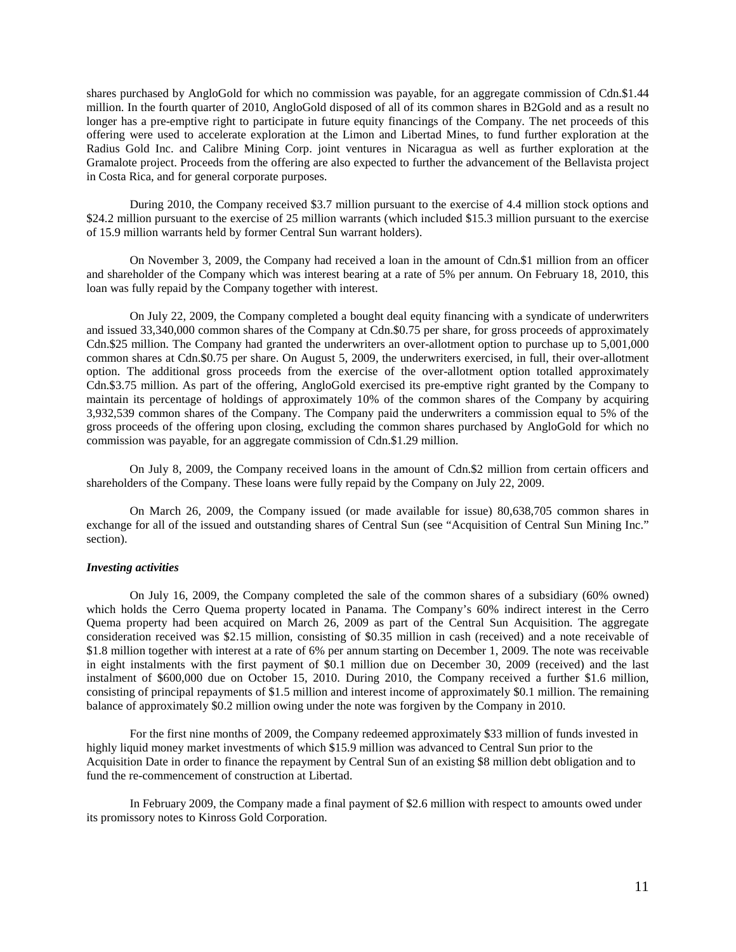shares purchased by AngloGold for which no commission was payable, for an aggregate commission of Cdn.\$1.44 million. In the fourth quarter of 2010, AngloGold disposed of all of its common shares in B2Gold and as a result no longer has a pre-emptive right to participate in future equity financings of the Company. The net proceeds of this offering were used to accelerate exploration at the Limon and Libertad Mines, to fund further exploration at the Radius Gold Inc. and Calibre Mining Corp. joint ventures in Nicaragua as well as further exploration at the Gramalote project. Proceeds from the offering are also expected to further the advancement of the Bellavista project in Costa Rica, and for general corporate purposes.

During 2010, the Company received \$3.7 million pursuant to the exercise of 4.4 million stock options and \$24.2 million pursuant to the exercise of 25 million warrants (which included \$15.3 million pursuant to the exercise of 15.9 million warrants held by former Central Sun warrant holders).

On November 3, 2009, the Company had received a loan in the amount of Cdn.\$1 million from an officer and shareholder of the Company which was interest bearing at a rate of 5% per annum. On February 18, 2010, this loan was fully repaid by the Company together with interest.

On July 22, 2009, the Company completed a bought deal equity financing with a syndicate of underwriters and issued 33,340,000 common shares of the Company at Cdn.\$0.75 per share, for gross proceeds of approximately Cdn.\$25 million. The Company had granted the underwriters an over-allotment option to purchase up to 5,001,000 common shares at Cdn.\$0.75 per share. On August 5, 2009, the underwriters exercised, in full, their over-allotment option. The additional gross proceeds from the exercise of the over-allotment option totalled approximately Cdn.\$3.75 million. As part of the offering, AngloGold exercised its pre-emptive right granted by the Company to maintain its percentage of holdings of approximately 10% of the common shares of the Company by acquiring 3,932,539 common shares of the Company. The Company paid the underwriters a commission equal to 5% of the gross proceeds of the offering upon closing, excluding the common shares purchased by AngloGold for which no commission was payable, for an aggregate commission of Cdn.\$1.29 million.

On July 8, 2009, the Company received loans in the amount of Cdn.\$2 million from certain officers and shareholders of the Company. These loans were fully repaid by the Company on July 22, 2009.

On March 26, 2009, the Company issued (or made available for issue) 80,638,705 common shares in exchange for all of the issued and outstanding shares of Central Sun (see "Acquisition of Central Sun Mining Inc." section).

## *Investing activities*

On July 16, 2009, the Company completed the sale of the common shares of a subsidiary (60% owned) which holds the Cerro Quema property located in Panama. The Company's 60% indirect interest in the Cerro Quema property had been acquired on March 26, 2009 as part of the Central Sun Acquisition. The aggregate consideration received was \$2.15 million, consisting of \$0.35 million in cash (received) and a note receivable of \$1.8 million together with interest at a rate of 6% per annum starting on December 1, 2009. The note was receivable in eight instalments with the first payment of \$0.1 million due on December 30, 2009 (received) and the last instalment of \$600,000 due on October 15, 2010. During 2010, the Company received a further \$1.6 million, consisting of principal repayments of \$1.5 million and interest income of approximately \$0.1 million. The remaining balance of approximately \$0.2 million owing under the note was forgiven by the Company in 2010.

For the first nine months of 2009, the Company redeemed approximately \$33 million of funds invested in highly liquid money market investments of which \$15.9 million was advanced to Central Sun prior to the Acquisition Date in order to finance the repayment by Central Sun of an existing \$8 million debt obligation and to fund the re-commencement of construction at Libertad.

In February 2009, the Company made a final payment of \$2.6 million with respect to amounts owed under its promissory notes to Kinross Gold Corporation.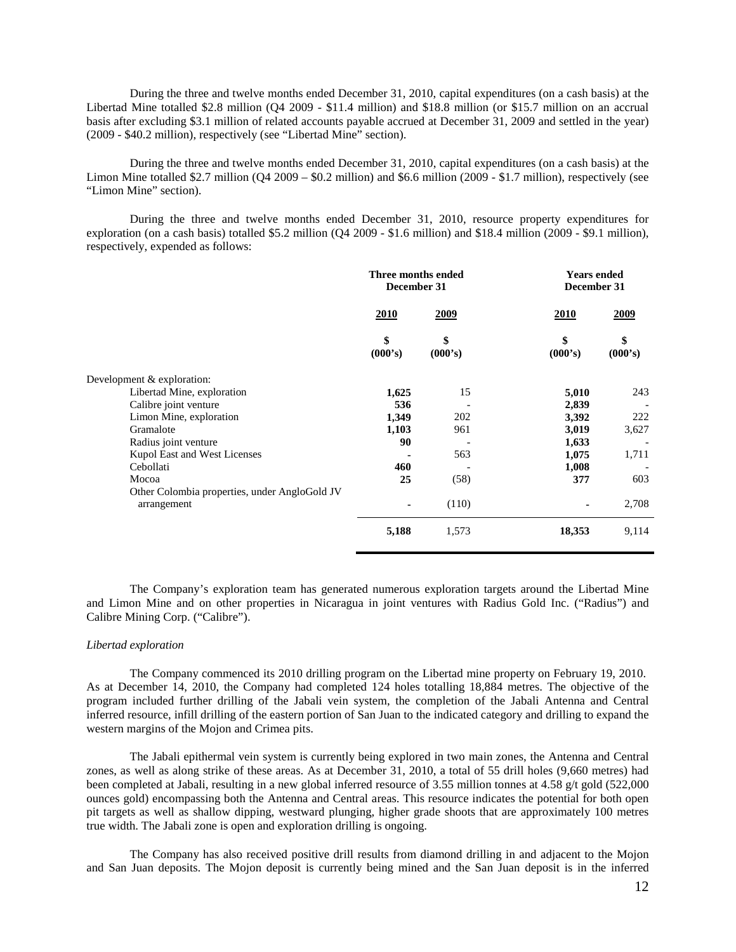During the three and twelve months ended December 31, 2010, capital expenditures (on a cash basis) at the Libertad Mine totalled \$2.8 million (Q4 2009 - \$11.4 million) and \$18.8 million (or \$15.7 million on an accrual basis after excluding \$3.1 million of related accounts payable accrued at December 31, 2009 and settled in the year) (2009 - \$40.2 million), respectively (see "Libertad Mine" section).

During the three and twelve months ended December 31, 2010, capital expenditures (on a cash basis) at the Limon Mine totalled \$2.7 million (Q4 2009 – \$0.2 million) and \$6.6 million (2009 - \$1.7 million), respectively (see "Limon Mine" section).

During the three and twelve months ended December 31, 2010, resource property expenditures for exploration (on a cash basis) totalled \$5.2 million (Q4 2009 - \$1.6 million) and \$18.4 million (2009 - \$9.1 million), respectively, expended as follows:

|                                               | Three months ended<br>December 31 |               | <b>Years ended</b><br>December 31 |               |
|-----------------------------------------------|-----------------------------------|---------------|-----------------------------------|---------------|
|                                               | <b>2010</b>                       | <u>2009</u>   | 2010                              | <u>2009</u>   |
|                                               | \$<br>(000's)                     | \$<br>(000's) | \$<br>(000's)                     | \$<br>(000's) |
| Development & exploration:                    |                                   |               |                                   |               |
| Libertad Mine, exploration                    | 1,625                             | 15            | 5,010                             | 243           |
| Calibre joint venture                         | 536                               |               | 2,839                             |               |
| Limon Mine, exploration                       | 1,349                             | 202           | 3,392                             | 222           |
| Gramalote                                     | 1,103                             | 961           | 3,019                             | 3,627         |
| Radius joint venture                          | 90                                |               | 1,633                             |               |
| Kupol East and West Licenses                  |                                   | 563           | 1,075                             | 1,711         |
| Cebollati                                     | 460                               |               | 1,008                             |               |
| Mocoa                                         | 25                                | (58)          | 377                               | 603           |
| Other Colombia properties, under AngloGold JV |                                   |               |                                   |               |
| arrangement                                   |                                   | (110)         | ٠                                 | 2,708         |
|                                               | 5,188                             | 1,573         | 18,353                            | 9,114         |

The Company's exploration team has generated numerous exploration targets around the Libertad Mine and Limon Mine and on other properties in Nicaragua in joint ventures with Radius Gold Inc. ("Radius") and Calibre Mining Corp. ("Calibre").

#### *Libertad exploration*

The Company commenced its 2010 drilling program on the Libertad mine property on February 19, 2010. As at December 14, 2010, the Company had completed 124 holes totalling 18,884 metres. The objective of the program included further drilling of the Jabali vein system, the completion of the Jabali Antenna and Central inferred resource, infill drilling of the eastern portion of San Juan to the indicated category and drilling to expand the western margins of the Mojon and Crimea pits.

The Jabali epithermal vein system is currently being explored in two main zones, the Antenna and Central zones, as well as along strike of these areas. As at December 31, 2010, a total of 55 drill holes (9,660 metres) had been completed at Jabali, resulting in a new global inferred resource of 3.55 million tonnes at 4.58 g/t gold (522,000 ounces gold) encompassing both the Antenna and Central areas. This resource indicates the potential for both open pit targets as well as shallow dipping, westward plunging, higher grade shoots that are approximately 100 metres true width. The Jabali zone is open and exploration drilling is ongoing.

The Company has also received positive drill results from diamond drilling in and adjacent to the Mojon and San Juan deposits. The Mojon deposit is currently being mined and the San Juan deposit is in the inferred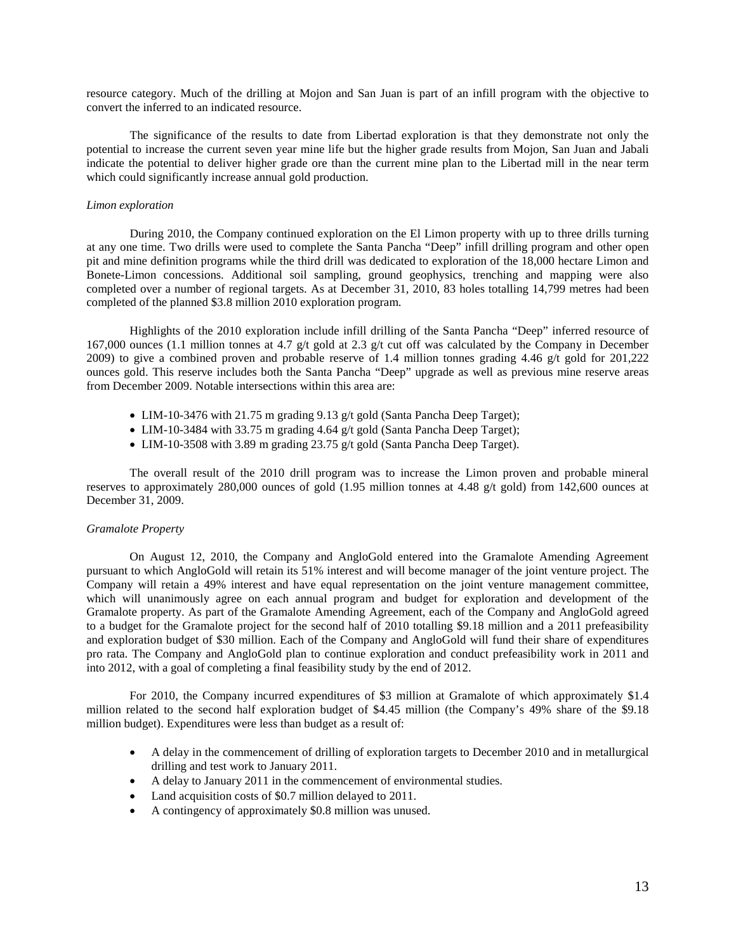resource category. Much of the drilling at Mojon and San Juan is part of an infill program with the objective to convert the inferred to an indicated resource.

The significance of the results to date from Libertad exploration is that they demonstrate not only the potential to increase the current seven year mine life but the higher grade results from Mojon, San Juan and Jabali indicate the potential to deliver higher grade ore than the current mine plan to the Libertad mill in the near term which could significantly increase annual gold production.

#### *Limon exploration*

During 2010, the Company continued exploration on the El Limon property with up to three drills turning at any one time. Two drills were used to complete the Santa Pancha "Deep" infill drilling program and other open pit and mine definition programs while the third drill was dedicated to exploration of the 18,000 hectare Limon and Bonete-Limon concessions. Additional soil sampling, ground geophysics, trenching and mapping were also completed over a number of regional targets. As at December 31, 2010, 83 holes totalling 14,799 metres had been completed of the planned \$3.8 million 2010 exploration program.

Highlights of the 2010 exploration include infill drilling of the Santa Pancha "Deep" inferred resource of 167,000 ounces (1.1 million tonnes at 4.7 g/t gold at 2.3 g/t cut off was calculated by the Company in December 2009) to give a combined proven and probable reserve of 1.4 million tonnes grading 4.46 g/t gold for 201,222 ounces gold. This reserve includes both the Santa Pancha "Deep" upgrade as well as previous mine reserve areas from December 2009. Notable intersections within this area are:

- LIM-10-3476 with 21.75 m grading 9.13 g/t gold (Santa Pancha Deep Target);
- LIM-10-3484 with 33.75 m grading 4.64 g/t gold (Santa Pancha Deep Target);
- LIM-10-3508 with 3.89 m grading 23.75 g/t gold (Santa Pancha Deep Target).

The overall result of the 2010 drill program was to increase the Limon proven and probable mineral reserves to approximately 280,000 ounces of gold (1.95 million tonnes at 4.48 g/t gold) from 142,600 ounces at December 31, 2009.

### *Gramalote Property*

On August 12, 2010, the Company and AngloGold entered into the Gramalote Amending Agreement pursuant to which AngloGold will retain its 51% interest and will become manager of the joint venture project. The Company will retain a 49% interest and have equal representation on the joint venture management committee, which will unanimously agree on each annual program and budget for exploration and development of the Gramalote property. As part of the Gramalote Amending Agreement, each of the Company and AngloGold agreed to a budget for the Gramalote project for the second half of 2010 totalling \$9.18 million and a 2011 prefeasibility and exploration budget of \$30 million. Each of the Company and AngloGold will fund their share of expenditures pro rata. The Company and AngloGold plan to continue exploration and conduct prefeasibility work in 2011 and into 2012, with a goal of completing a final feasibility study by the end of 2012.

For 2010, the Company incurred expenditures of \$3 million at Gramalote of which approximately \$1.4 million related to the second half exploration budget of \$4.45 million (the Company's 49% share of the \$9.18 million budget). Expenditures were less than budget as a result of:

- A delay in the commencement of drilling of exploration targets to December 2010 and in metallurgical drilling and test work to January 2011.
- A delay to January 2011 in the commencement of environmental studies.
- Land acquisition costs of \$0.7 million delayed to 2011.
- A contingency of approximately \$0.8 million was unused.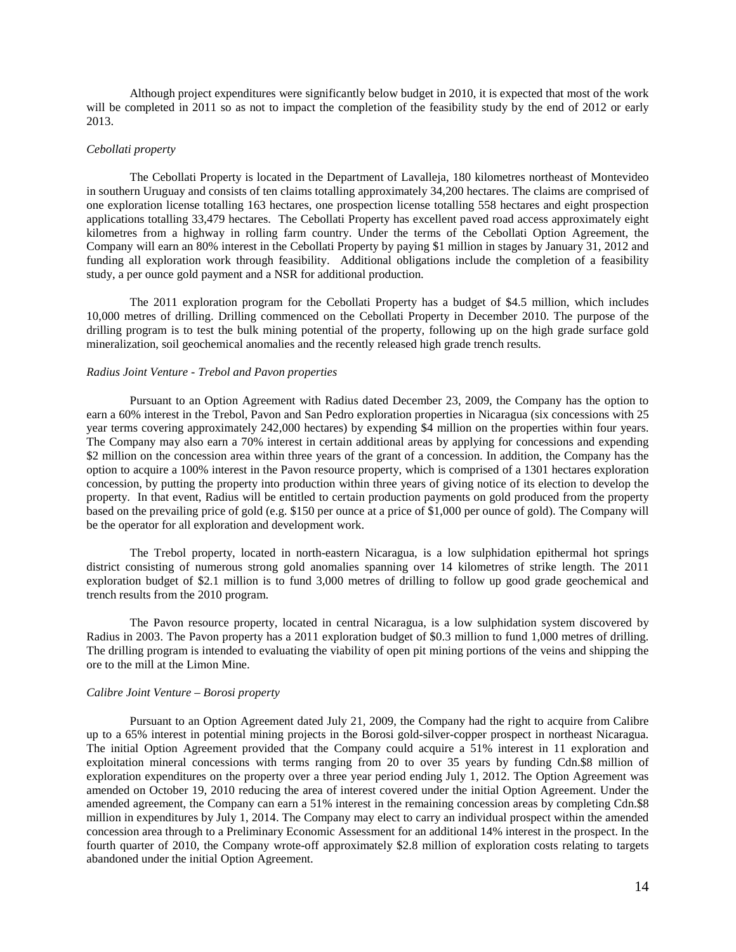Although project expenditures were significantly below budget in 2010, it is expected that most of the work will be completed in 2011 so as not to impact the completion of the feasibility study by the end of 2012 or early 2013.

### *Cebollati property*

The Cebollati Property is located in the Department of Lavalleja, 180 kilometres northeast of Montevideo in southern Uruguay and consists of ten claims totalling approximately 34,200 hectares. The claims are comprised of one exploration license totalling 163 hectares, one prospection license totalling 558 hectares and eight prospection applications totalling 33,479 hectares. The Cebollati Property has excellent paved road access approximately eight kilometres from a highway in rolling farm country. Under the terms of the Cebollati Option Agreement, the Company will earn an 80% interest in the Cebollati Property by paying \$1 million in stages by January 31, 2012 and funding all exploration work through feasibility. Additional obligations include the completion of a feasibility study, a per ounce gold payment and a NSR for additional production.

The 2011 exploration program for the Cebollati Property has a budget of \$4.5 million, which includes 10,000 metres of drilling. Drilling commenced on the Cebollati Property in December 2010. The purpose of the drilling program is to test the bulk mining potential of the property, following up on the high grade surface gold mineralization, soil geochemical anomalies and the recently released high grade trench results.

### *Radius Joint Venture - Trebol and Pavon properties*

Pursuant to an Option Agreement with Radius dated December 23, 2009, the Company has the option to earn a 60% interest in the Trebol, Pavon and San Pedro exploration properties in Nicaragua (six concessions with 25 year terms covering approximately 242,000 hectares) by expending \$4 million on the properties within four years. The Company may also earn a 70% interest in certain additional areas by applying for concessions and expending \$2 million on the concession area within three years of the grant of a concession. In addition, the Company has the option to acquire a 100% interest in the Pavon resource property, which is comprised of a 1301 hectares exploration concession, by putting the property into production within three years of giving notice of its election to develop the property. In that event, Radius will be entitled to certain production payments on gold produced from the property based on the prevailing price of gold (e.g. \$150 per ounce at a price of \$1,000 per ounce of gold). The Company will be the operator for all exploration and development work.

The Trebol property, located in north-eastern Nicaragua, is a low sulphidation epithermal hot springs district consisting of numerous strong gold anomalies spanning over 14 kilometres of strike length. The 2011 exploration budget of \$2.1 million is to fund 3,000 metres of drilling to follow up good grade geochemical and trench results from the 2010 program.

The Pavon resource property, located in central Nicaragua, is a low sulphidation system discovered by Radius in 2003. The Pavon property has a 2011 exploration budget of \$0.3 million to fund 1,000 metres of drilling. The drilling program is intended to evaluating the viability of open pit mining portions of the veins and shipping the ore to the mill at the Limon Mine.

### *Calibre Joint Venture – Borosi property*

Pursuant to an Option Agreement dated July 21, 2009, the Company had the right to acquire from Calibre up to a 65% interest in potential mining projects in the Borosi gold-silver-copper prospect in northeast Nicaragua. The initial Option Agreement provided that the Company could acquire a 51% interest in 11 exploration and exploitation mineral concessions with terms ranging from 20 to over 35 years by funding Cdn.\$8 million of exploration expenditures on the property over a three year period ending July 1, 2012. The Option Agreement was amended on October 19, 2010 reducing the area of interest covered under the initial Option Agreement. Under the amended agreement, the Company can earn a 51% interest in the remaining concession areas by completing Cdn.\$8 million in expenditures by July 1, 2014. The Company may elect to carry an individual prospect within the amended concession area through to a Preliminary Economic Assessment for an additional 14% interest in the prospect. In the fourth quarter of 2010, the Company wrote-off approximately \$2.8 million of exploration costs relating to targets abandoned under the initial Option Agreement.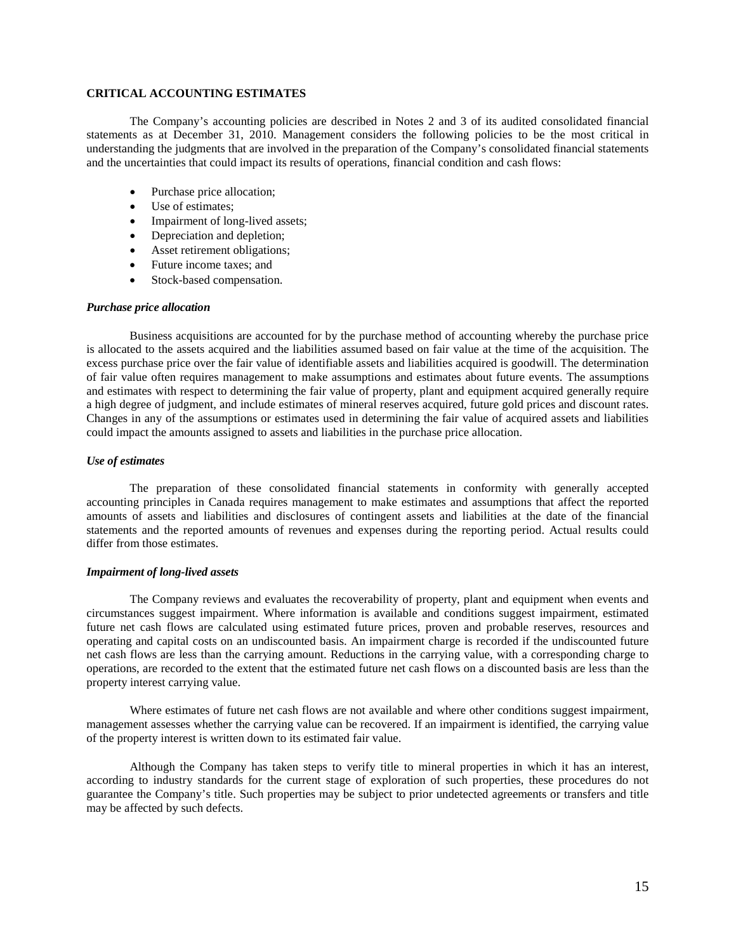## **CRITICAL ACCOUNTING ESTIMATES**

The Company's accounting policies are described in Notes 2 and 3 of its audited consolidated financial statements as at December 31, 2010. Management considers the following policies to be the most critical in understanding the judgments that are involved in the preparation of the Company's consolidated financial statements and the uncertainties that could impact its results of operations, financial condition and cash flows:

- Purchase price allocation;
- Use of estimates;
- Impairment of long-lived assets;
- Depreciation and depletion;
- Asset retirement obligations;
- Future income taxes; and
- Stock-based compensation.

### *Purchase price allocation*

Business acquisitions are accounted for by the purchase method of accounting whereby the purchase price is allocated to the assets acquired and the liabilities assumed based on fair value at the time of the acquisition. The excess purchase price over the fair value of identifiable assets and liabilities acquired is goodwill. The determination of fair value often requires management to make assumptions and estimates about future events. The assumptions and estimates with respect to determining the fair value of property, plant and equipment acquired generally require a high degree of judgment, and include estimates of mineral reserves acquired, future gold prices and discount rates. Changes in any of the assumptions or estimates used in determining the fair value of acquired assets and liabilities could impact the amounts assigned to assets and liabilities in the purchase price allocation.

#### *Use of estimates*

The preparation of these consolidated financial statements in conformity with generally accepted accounting principles in Canada requires management to make estimates and assumptions that affect the reported amounts of assets and liabilities and disclosures of contingent assets and liabilities at the date of the financial statements and the reported amounts of revenues and expenses during the reporting period. Actual results could differ from those estimates.

### *Impairment of long-lived assets*

The Company reviews and evaluates the recoverability of property, plant and equipment when events and circumstances suggest impairment. Where information is available and conditions suggest impairment, estimated future net cash flows are calculated using estimated future prices, proven and probable reserves, resources and operating and capital costs on an undiscounted basis. An impairment charge is recorded if the undiscounted future net cash flows are less than the carrying amount. Reductions in the carrying value, with a corresponding charge to operations, are recorded to the extent that the estimated future net cash flows on a discounted basis are less than the property interest carrying value.

Where estimates of future net cash flows are not available and where other conditions suggest impairment, management assesses whether the carrying value can be recovered. If an impairment is identified, the carrying value of the property interest is written down to its estimated fair value.

Although the Company has taken steps to verify title to mineral properties in which it has an interest, according to industry standards for the current stage of exploration of such properties, these procedures do not guarantee the Company's title. Such properties may be subject to prior undetected agreements or transfers and title may be affected by such defects.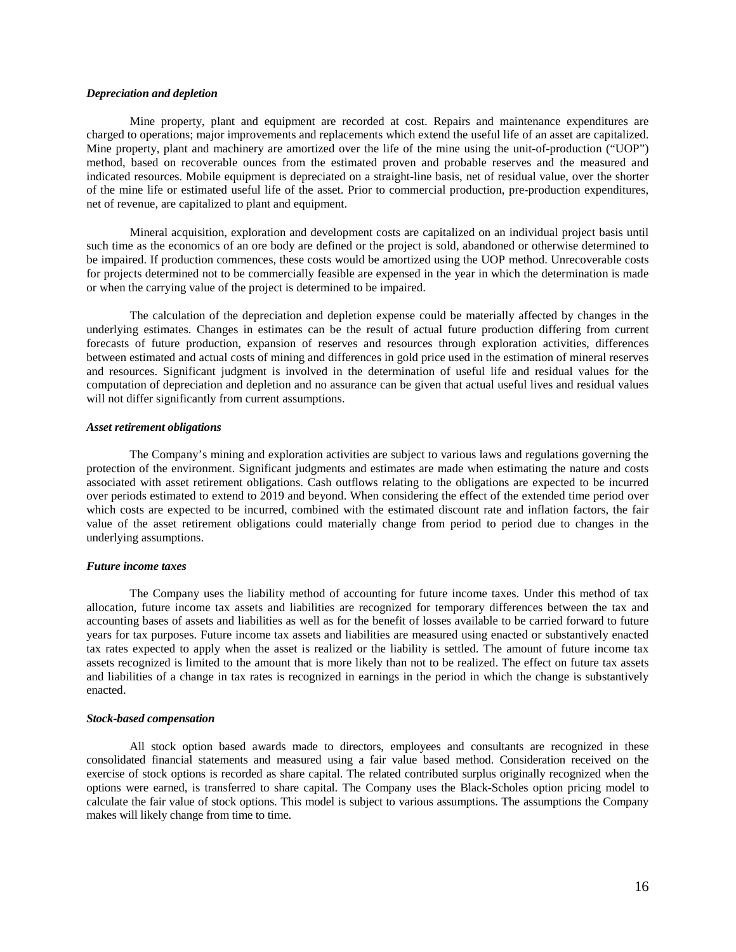#### *Depreciation and depletion*

Mine property, plant and equipment are recorded at cost. Repairs and maintenance expenditures are charged to operations; major improvements and replacements which extend the useful life of an asset are capitalized. Mine property, plant and machinery are amortized over the life of the mine using the unit-of-production ("UOP") method, based on recoverable ounces from the estimated proven and probable reserves and the measured and indicated resources. Mobile equipment is depreciated on a straight-line basis, net of residual value, over the shorter of the mine life or estimated useful life of the asset. Prior to commercial production, pre-production expenditures, net of revenue, are capitalized to plant and equipment.

Mineral acquisition, exploration and development costs are capitalized on an individual project basis until such time as the economics of an ore body are defined or the project is sold, abandoned or otherwise determined to be impaired. If production commences, these costs would be amortized using the UOP method. Unrecoverable costs for projects determined not to be commercially feasible are expensed in the year in which the determination is made or when the carrying value of the project is determined to be impaired.

The calculation of the depreciation and depletion expense could be materially affected by changes in the underlying estimates. Changes in estimates can be the result of actual future production differing from current forecasts of future production, expansion of reserves and resources through exploration activities, differences between estimated and actual costs of mining and differences in gold price used in the estimation of mineral reserves and resources. Significant judgment is involved in the determination of useful life and residual values for the computation of depreciation and depletion and no assurance can be given that actual useful lives and residual values will not differ significantly from current assumptions.

#### *Asset retirement obligations*

The Company's mining and exploration activities are subject to various laws and regulations governing the protection of the environment. Significant judgments and estimates are made when estimating the nature and costs associated with asset retirement obligations. Cash outflows relating to the obligations are expected to be incurred over periods estimated to extend to 2019 and beyond. When considering the effect of the extended time period over which costs are expected to be incurred, combined with the estimated discount rate and inflation factors, the fair value of the asset retirement obligations could materially change from period to period due to changes in the underlying assumptions.

#### *Future income taxes*

The Company uses the liability method of accounting for future income taxes. Under this method of tax allocation, future income tax assets and liabilities are recognized for temporary differences between the tax and accounting bases of assets and liabilities as well as for the benefit of losses available to be carried forward to future years for tax purposes. Future income tax assets and liabilities are measured using enacted or substantively enacted tax rates expected to apply when the asset is realized or the liability is settled. The amount of future income tax assets recognized is limited to the amount that is more likely than not to be realized. The effect on future tax assets and liabilities of a change in tax rates is recognized in earnings in the period in which the change is substantively enacted.

#### *Stock-based compensation*

All stock option based awards made to directors, employees and consultants are recognized in these consolidated financial statements and measured using a fair value based method. Consideration received on the exercise of stock options is recorded as share capital. The related contributed surplus originally recognized when the options were earned, is transferred to share capital. The Company uses the Black-Scholes option pricing model to calculate the fair value of stock options. This model is subject to various assumptions. The assumptions the Company makes will likely change from time to time.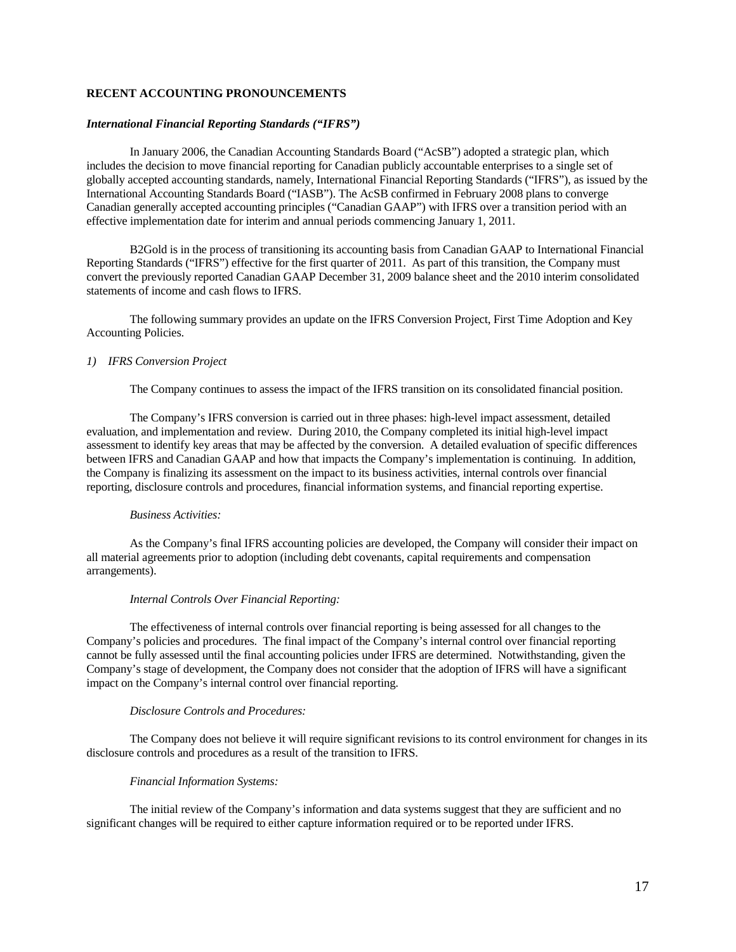## **RECENT ACCOUNTING PRONOUNCEMENTS**

### *International Financial Reporting Standards ("IFRS")*

In January 2006, the Canadian Accounting Standards Board ("AcSB") adopted a strategic plan, which includes the decision to move financial reporting for Canadian publicly accountable enterprises to a single set of globally accepted accounting standards, namely, International Financial Reporting Standards ("IFRS"), as issued by the International Accounting Standards Board ("IASB"). The AcSB confirmed in February 2008 plans to converge Canadian generally accepted accounting principles ("Canadian GAAP") with IFRS over a transition period with an effective implementation date for interim and annual periods commencing January 1, 2011.

B2Gold is in the process of transitioning its accounting basis from Canadian GAAP to International Financial Reporting Standards ("IFRS") effective for the first quarter of 2011. As part of this transition, the Company must convert the previously reported Canadian GAAP December 31, 2009 balance sheet and the 2010 interim consolidated statements of income and cash flows to IFRS.

The following summary provides an update on the IFRS Conversion Project, First Time Adoption and Key Accounting Policies.

### *1) IFRS Conversion Project*

The Company continues to assess the impact of the IFRS transition on its consolidated financial position.

The Company's IFRS conversion is carried out in three phases: high-level impact assessment, detailed evaluation, and implementation and review. During 2010, the Company completed its initial high-level impact assessment to identify key areas that may be affected by the conversion. A detailed evaluation of specific differences between IFRS and Canadian GAAP and how that impacts the Company's implementation is continuing. In addition, the Company is finalizing its assessment on the impact to its business activities, internal controls over financial reporting, disclosure controls and procedures, financial information systems, and financial reporting expertise.

## *Business Activities:*

As the Company's final IFRS accounting policies are developed, the Company will consider their impact on all material agreements prior to adoption (including debt covenants, capital requirements and compensation arrangements).

#### *Internal Controls Over Financial Reporting:*

The effectiveness of internal controls over financial reporting is being assessed for all changes to the Company's policies and procedures. The final impact of the Company's internal control over financial reporting cannot be fully assessed until the final accounting policies under IFRS are determined. Notwithstanding, given the Company's stage of development, the Company does not consider that the adoption of IFRS will have a significant impact on the Company's internal control over financial reporting.

### *Disclosure Controls and Procedures:*

The Company does not believe it will require significant revisions to its control environment for changes in its disclosure controls and procedures as a result of the transition to IFRS.

### *Financial Information Systems:*

The initial review of the Company's information and data systems suggest that they are sufficient and no significant changes will be required to either capture information required or to be reported under IFRS.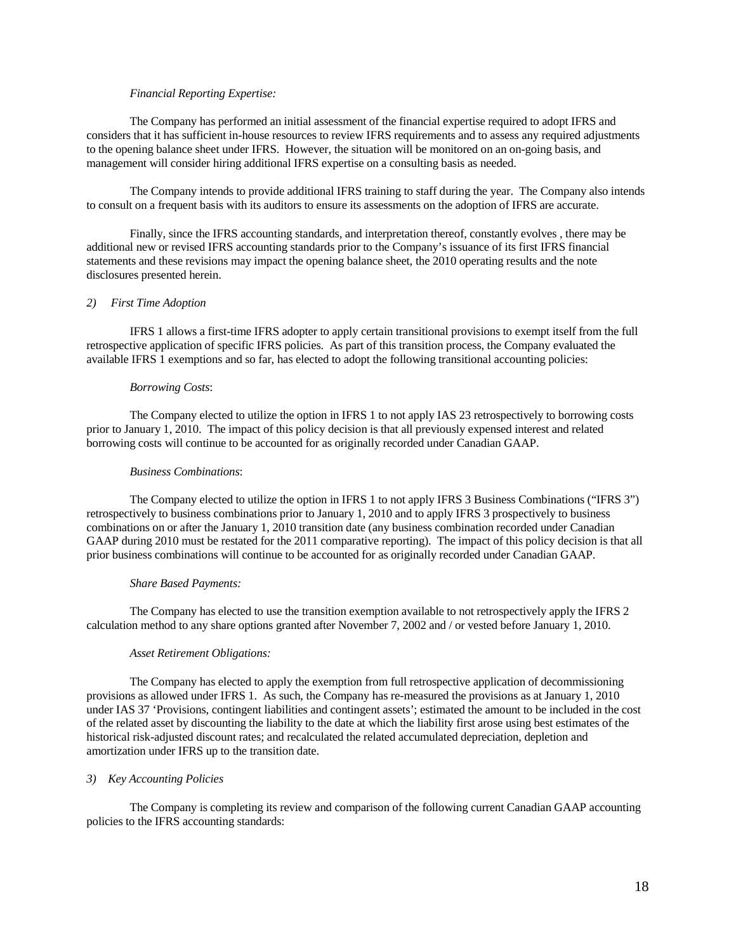### *Financial Reporting Expertise:*

The Company has performed an initial assessment of the financial expertise required to adopt IFRS and considers that it has sufficient in-house resources to review IFRS requirements and to assess any required adjustments to the opening balance sheet under IFRS. However, the situation will be monitored on an on-going basis, and management will consider hiring additional IFRS expertise on a consulting basis as needed.

The Company intends to provide additional IFRS training to staff during the year. The Company also intends to consult on a frequent basis with its auditors to ensure its assessments on the adoption of IFRS are accurate.

Finally, since the IFRS accounting standards, and interpretation thereof, constantly evolves , there may be additional new or revised IFRS accounting standards prior to the Company's issuance of its first IFRS financial statements and these revisions may impact the opening balance sheet, the 2010 operating results and the note disclosures presented herein.

## *2) First Time Adoption*

IFRS 1 allows a first-time IFRS adopter to apply certain transitional provisions to exempt itself from the full retrospective application of specific IFRS policies. As part of this transition process, the Company evaluated the available IFRS 1 exemptions and so far, has elected to adopt the following transitional accounting policies:

#### *Borrowing Costs*:

The Company elected to utilize the option in IFRS 1 to not apply IAS 23 retrospectively to borrowing costs prior to January 1, 2010. The impact of this policy decision is that all previously expensed interest and related borrowing costs will continue to be accounted for as originally recorded under Canadian GAAP.

### *Business Combinations*:

The Company elected to utilize the option in IFRS 1 to not apply IFRS 3 Business Combinations ("IFRS 3") retrospectively to business combinations prior to January 1, 2010 and to apply IFRS 3 prospectively to business combinations on or after the January 1, 2010 transition date (any business combination recorded under Canadian GAAP during 2010 must be restated for the 2011 comparative reporting). The impact of this policy decision is that all prior business combinations will continue to be accounted for as originally recorded under Canadian GAAP.

#### *Share Based Payments:*

The Company has elected to use the transition exemption available to not retrospectively apply the IFRS 2 calculation method to any share options granted after November 7, 2002 and / or vested before January 1, 2010.

### *Asset Retirement Obligations:*

The Company has elected to apply the exemption from full retrospective application of decommissioning provisions as allowed under IFRS 1. As such, the Company has re-measured the provisions as at January 1, 2010 under IAS 37 'Provisions, contingent liabilities and contingent assets'; estimated the amount to be included in the cost of the related asset by discounting the liability to the date at which the liability first arose using best estimates of the historical risk-adjusted discount rates; and recalculated the related accumulated depreciation, depletion and amortization under IFRS up to the transition date.

### *3) Key Accounting Policies*

The Company is completing its review and comparison of the following current Canadian GAAP accounting policies to the IFRS accounting standards: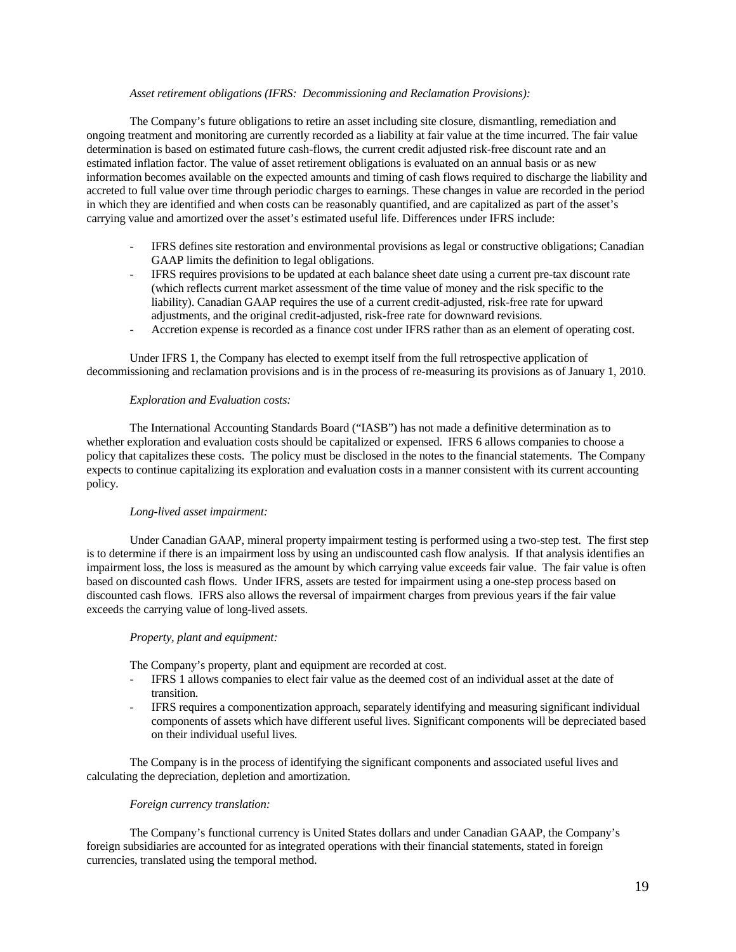### *Asset retirement obligations (IFRS: Decommissioning and Reclamation Provisions):*

The Company's future obligations to retire an asset including site closure, dismantling, remediation and ongoing treatment and monitoring are currently recorded as a liability at fair value at the time incurred. The fair value determination is based on estimated future cash-flows, the current credit adjusted risk-free discount rate and an estimated inflation factor. The value of asset retirement obligations is evaluated on an annual basis or as new information becomes available on the expected amounts and timing of cash flows required to discharge the liability and accreted to full value over time through periodic charges to earnings. These changes in value are recorded in the period in which they are identified and when costs can be reasonably quantified, and are capitalized as part of the asset's carrying value and amortized over the asset's estimated useful life. Differences under IFRS include:

- IFRS defines site restoration and environmental provisions as legal or constructive obligations; Canadian GAAP limits the definition to legal obligations.
- IFRS requires provisions to be updated at each balance sheet date using a current pre-tax discount rate (which reflects current market assessment of the time value of money and the risk specific to the liability). Canadian GAAP requires the use of a current credit-adjusted, risk-free rate for upward adjustments, and the original credit-adjusted, risk-free rate for downward revisions.
- Accretion expense is recorded as a finance cost under IFRS rather than as an element of operating cost.

Under IFRS 1, the Company has elected to exempt itself from the full retrospective application of decommissioning and reclamation provisions and is in the process of re-measuring its provisions as of January 1, 2010.

### *Exploration and Evaluation costs:*

The International Accounting Standards Board ("IASB") has not made a definitive determination as to whether exploration and evaluation costs should be capitalized or expensed. IFRS 6 allows companies to choose a policy that capitalizes these costs. The policy must be disclosed in the notes to the financial statements. The Company expects to continue capitalizing its exploration and evaluation costs in a manner consistent with its current accounting policy.

### *Long-lived asset impairment:*

Under Canadian GAAP, mineral property impairment testing is performed using a two-step test. The first step is to determine if there is an impairment loss by using an undiscounted cash flow analysis. If that analysis identifies an impairment loss, the loss is measured as the amount by which carrying value exceeds fair value. The fair value is often based on discounted cash flows. Under IFRS, assets are tested for impairment using a one-step process based on discounted cash flows. IFRS also allows the reversal of impairment charges from previous years if the fair value exceeds the carrying value of long-lived assets.

#### *Property, plant and equipment:*

The Company's property, plant and equipment are recorded at cost.

- IFRS 1 allows companies to elect fair value as the deemed cost of an individual asset at the date of transition.
- IFRS requires a componentization approach, separately identifying and measuring significant individual components of assets which have different useful lives. Significant components will be depreciated based on their individual useful lives.

The Company is in the process of identifying the significant components and associated useful lives and calculating the depreciation, depletion and amortization.

#### *Foreign currency translation:*

The Company's functional currency is United States dollars and under Canadian GAAP, the Company's foreign subsidiaries are accounted for as integrated operations with their financial statements, stated in foreign currencies, translated using the temporal method.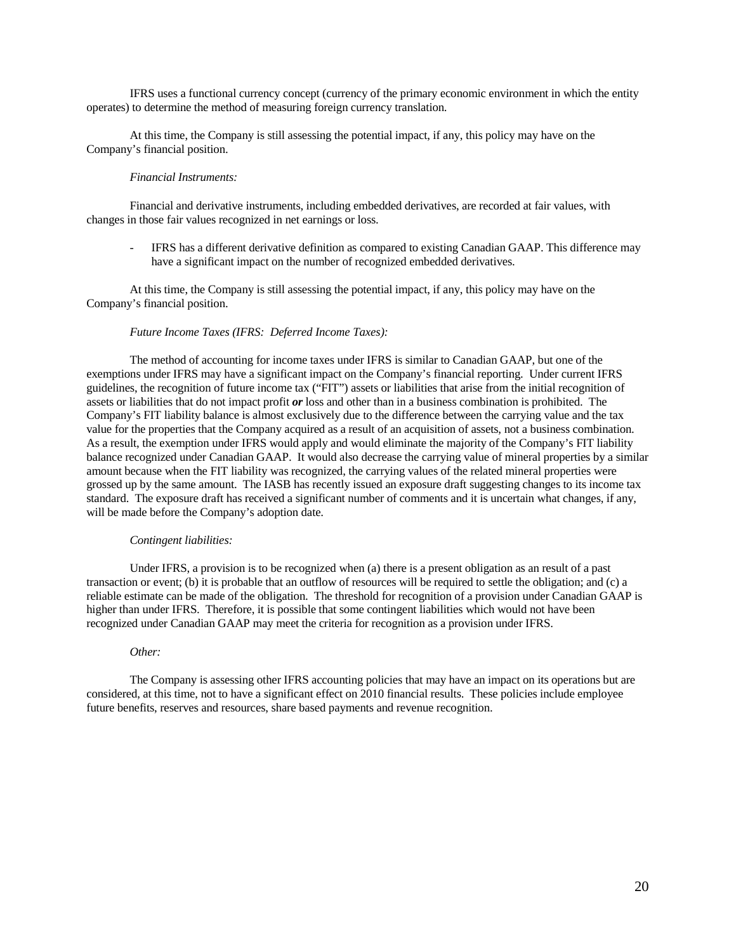IFRS uses a functional currency concept (currency of the primary economic environment in which the entity operates) to determine the method of measuring foreign currency translation.

At this time, the Company is still assessing the potential impact, if any, this policy may have on the Company's financial position.

## *Financial Instruments:*

Financial and derivative instruments, including embedded derivatives, are recorded at fair values, with changes in those fair values recognized in net earnings or loss.

- IFRS has a different derivative definition as compared to existing Canadian GAAP. This difference may have a significant impact on the number of recognized embedded derivatives.

At this time, the Company is still assessing the potential impact, if any, this policy may have on the Company's financial position.

### *Future Income Taxes (IFRS: Deferred Income Taxes):*

The method of accounting for income taxes under IFRS is similar to Canadian GAAP, but one of the exemptions under IFRS may have a significant impact on the Company's financial reporting. Under current IFRS guidelines, the recognition of future income tax ("FIT") assets or liabilities that arise from the initial recognition of assets or liabilities that do not impact profit *or* loss and other than in a business combination is prohibited. The Company's FIT liability balance is almost exclusively due to the difference between the carrying value and the tax value for the properties that the Company acquired as a result of an acquisition of assets, not a business combination. As a result, the exemption under IFRS would apply and would eliminate the majority of the Company's FIT liability balance recognized under Canadian GAAP. It would also decrease the carrying value of mineral properties by a similar amount because when the FIT liability was recognized, the carrying values of the related mineral properties were grossed up by the same amount. The IASB has recently issued an exposure draft suggesting changes to its income tax standard. The exposure draft has received a significant number of comments and it is uncertain what changes, if any, will be made before the Company's adoption date.

#### *Contingent liabilities:*

Under IFRS, a provision is to be recognized when (a) there is a present obligation as an result of a past transaction or event; (b) it is probable that an outflow of resources will be required to settle the obligation; and (c) a reliable estimate can be made of the obligation. The threshold for recognition of a provision under Canadian GAAP is higher than under IFRS. Therefore, it is possible that some contingent liabilities which would not have been recognized under Canadian GAAP may meet the criteria for recognition as a provision under IFRS.

#### *Other:*

The Company is assessing other IFRS accounting policies that may have an impact on its operations but are considered, at this time, not to have a significant effect on 2010 financial results. These policies include employee future benefits, reserves and resources, share based payments and revenue recognition.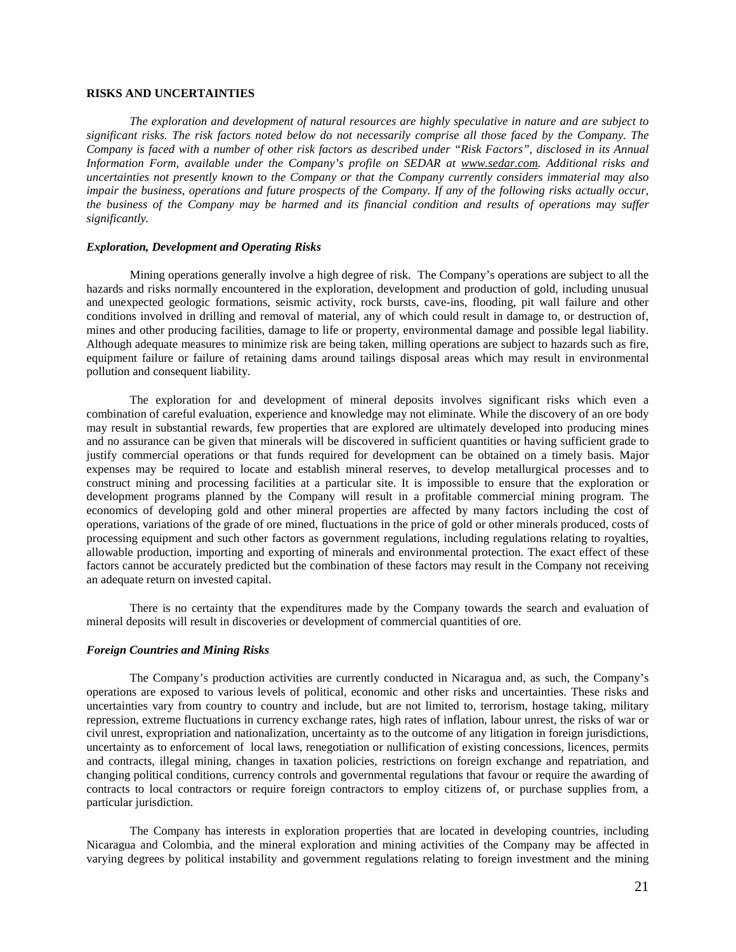## **RISKS AND UNCERTAINTIES**

*The exploration and development of natural resources are highly speculative in nature and are subject to significant risks. The risk factors noted below do not necessarily comprise all those faced by the Company. The Company is faced with a number of other risk factors as described under "Risk Factors", disclosed in its Annual Information Form, available under the Company's profile on SEDAR at [www.sedar.com.](http://www.sedar.com/) Additional risks and uncertainties not presently known to the Company or that the Company currently considers immaterial may also impair the business, operations and future prospects of the Company. If any of the following risks actually occur, the business of the Company may be harmed and its financial condition and results of operations may suffer significantly.* 

### *Exploration, Development and Operating Risks*

Mining operations generally involve a high degree of risk. The Company's operations are subject to all the hazards and risks normally encountered in the exploration, development and production of gold, including unusual and unexpected geologic formations, seismic activity, rock bursts, cave-ins, flooding, pit wall failure and other conditions involved in drilling and removal of material, any of which could result in damage to, or destruction of, mines and other producing facilities, damage to life or property, environmental damage and possible legal liability. Although adequate measures to minimize risk are being taken, milling operations are subject to hazards such as fire, equipment failure or failure of retaining dams around tailings disposal areas which may result in environmental pollution and consequent liability.

The exploration for and development of mineral deposits involves significant risks which even a combination of careful evaluation, experience and knowledge may not eliminate. While the discovery of an ore body may result in substantial rewards, few properties that are explored are ultimately developed into producing mines and no assurance can be given that minerals will be discovered in sufficient quantities or having sufficient grade to justify commercial operations or that funds required for development can be obtained on a timely basis. Major expenses may be required to locate and establish mineral reserves, to develop metallurgical processes and to construct mining and processing facilities at a particular site. It is impossible to ensure that the exploration or development programs planned by the Company will result in a profitable commercial mining program. The economics of developing gold and other mineral properties are affected by many factors including the cost of operations, variations of the grade of ore mined, fluctuations in the price of gold or other minerals produced, costs of processing equipment and such other factors as government regulations, including regulations relating to royalties, allowable production, importing and exporting of minerals and environmental protection. The exact effect of these factors cannot be accurately predicted but the combination of these factors may result in the Company not receiving an adequate return on invested capital.

There is no certainty that the expenditures made by the Company towards the search and evaluation of mineral deposits will result in discoveries or development of commercial quantities of ore.

#### *Foreign Countries and Mining Risks*

The Company's production activities are currently conducted in Nicaragua and, as such, the Company's operations are exposed to various levels of political, economic and other risks and uncertainties. These risks and uncertainties vary from country to country and include, but are not limited to, terrorism, hostage taking, military repression, extreme fluctuations in currency exchange rates, high rates of inflation, labour unrest, the risks of war or civil unrest, expropriation and nationalization, uncertainty as to the outcome of any litigation in foreign jurisdictions, uncertainty as to enforcement of local laws, renegotiation or nullification of existing concessions, licences, permits and contracts, illegal mining, changes in taxation policies, restrictions on foreign exchange and repatriation, and changing political conditions, currency controls and governmental regulations that favour or require the awarding of contracts to local contractors or require foreign contractors to employ citizens of, or purchase supplies from, a particular jurisdiction.

The Company has interests in exploration properties that are located in developing countries, including Nicaragua and Colombia, and the mineral exploration and mining activities of the Company may be affected in varying degrees by political instability and government regulations relating to foreign investment and the mining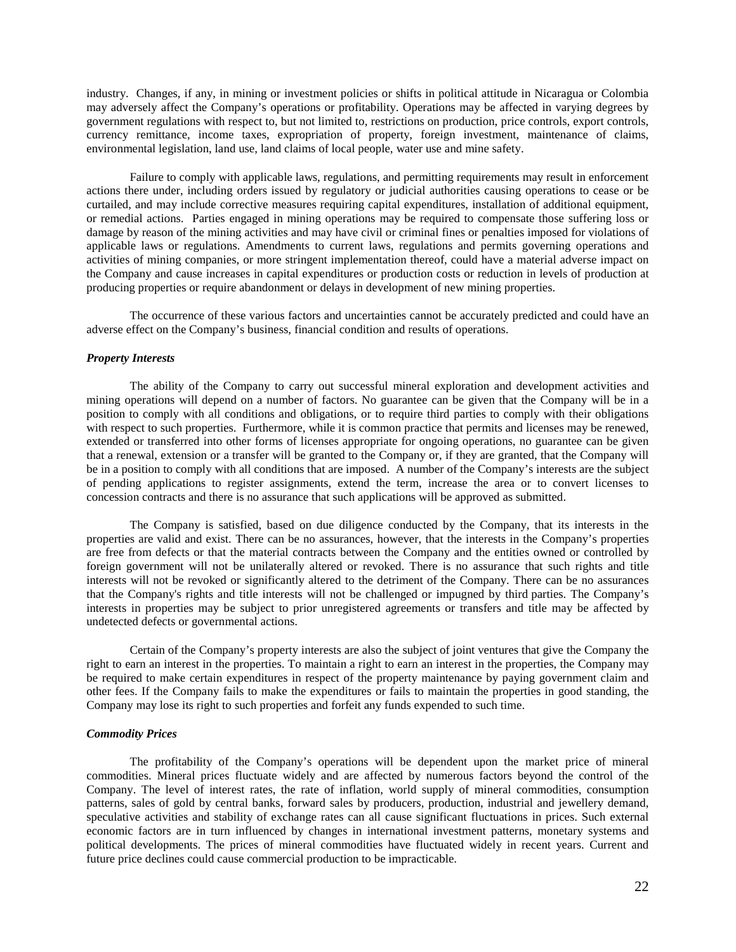industry. Changes, if any, in mining or investment policies or shifts in political attitude in Nicaragua or Colombia may adversely affect the Company's operations or profitability. Operations may be affected in varying degrees by government regulations with respect to, but not limited to, restrictions on production, price controls, export controls, currency remittance, income taxes, expropriation of property, foreign investment, maintenance of claims, environmental legislation, land use, land claims of local people, water use and mine safety.

Failure to comply with applicable laws, regulations, and permitting requirements may result in enforcement actions there under, including orders issued by regulatory or judicial authorities causing operations to cease or be curtailed, and may include corrective measures requiring capital expenditures, installation of additional equipment, or remedial actions. Parties engaged in mining operations may be required to compensate those suffering loss or damage by reason of the mining activities and may have civil or criminal fines or penalties imposed for violations of applicable laws or regulations. Amendments to current laws, regulations and permits governing operations and activities of mining companies, or more stringent implementation thereof, could have a material adverse impact on the Company and cause increases in capital expenditures or production costs or reduction in levels of production at producing properties or require abandonment or delays in development of new mining properties.

The occurrence of these various factors and uncertainties cannot be accurately predicted and could have an adverse effect on the Company's business, financial condition and results of operations.

#### *Property Interests*

The ability of the Company to carry out successful mineral exploration and development activities and mining operations will depend on a number of factors. No guarantee can be given that the Company will be in a position to comply with all conditions and obligations, or to require third parties to comply with their obligations with respect to such properties. Furthermore, while it is common practice that permits and licenses may be renewed, extended or transferred into other forms of licenses appropriate for ongoing operations, no guarantee can be given that a renewal, extension or a transfer will be granted to the Company or, if they are granted, that the Company will be in a position to comply with all conditions that are imposed. A number of the Company's interests are the subject of pending applications to register assignments, extend the term, increase the area or to convert licenses to concession contracts and there is no assurance that such applications will be approved as submitted.

The Company is satisfied, based on due diligence conducted by the Company, that its interests in the properties are valid and exist. There can be no assurances, however, that the interests in the Company's properties are free from defects or that the material contracts between the Company and the entities owned or controlled by foreign government will not be unilaterally altered or revoked. There is no assurance that such rights and title interests will not be revoked or significantly altered to the detriment of the Company. There can be no assurances that the Company's rights and title interests will not be challenged or impugned by third parties. The Company's interests in properties may be subject to prior unregistered agreements or transfers and title may be affected by undetected defects or governmental actions.

Certain of the Company's property interests are also the subject of joint ventures that give the Company the right to earn an interest in the properties. To maintain a right to earn an interest in the properties, the Company may be required to make certain expenditures in respect of the property maintenance by paying government claim and other fees. If the Company fails to make the expenditures or fails to maintain the properties in good standing, the Company may lose its right to such properties and forfeit any funds expended to such time.

## *Commodity Prices*

The profitability of the Company's operations will be dependent upon the market price of mineral commodities. Mineral prices fluctuate widely and are affected by numerous factors beyond the control of the Company. The level of interest rates, the rate of inflation, world supply of mineral commodities, consumption patterns, sales of gold by central banks, forward sales by producers, production, industrial and jewellery demand, speculative activities and stability of exchange rates can all cause significant fluctuations in prices. Such external economic factors are in turn influenced by changes in international investment patterns, monetary systems and political developments. The prices of mineral commodities have fluctuated widely in recent years. Current and future price declines could cause commercial production to be impracticable.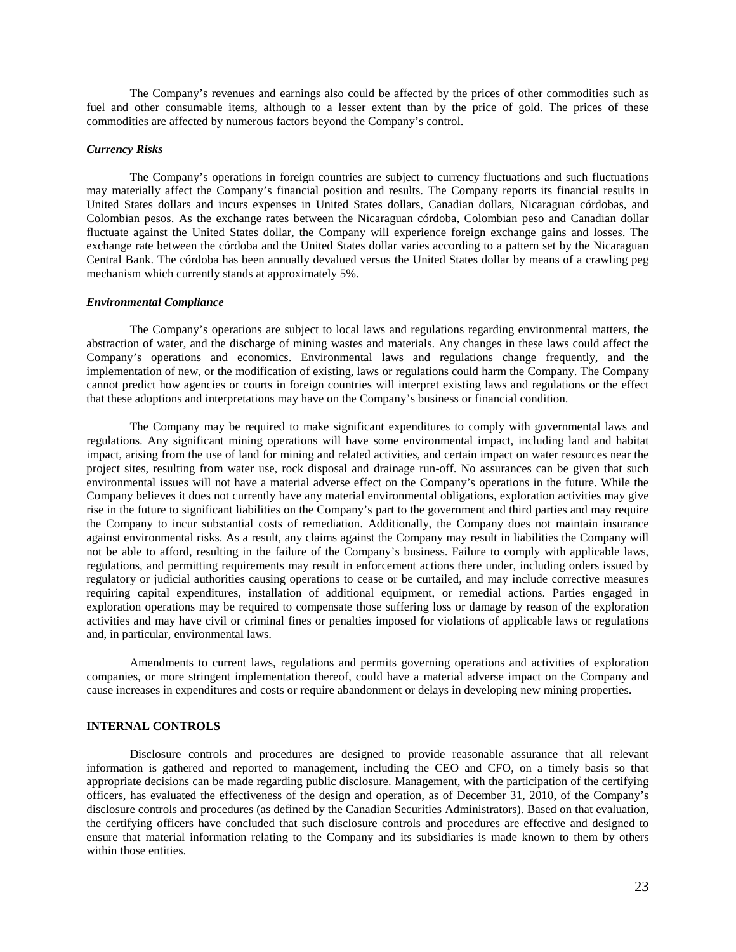The Company's revenues and earnings also could be affected by the prices of other commodities such as fuel and other consumable items, although to a lesser extent than by the price of gold. The prices of these commodities are affected by numerous factors beyond the Company's control.

#### *Currency Risks*

The Company's operations in foreign countries are subject to currency fluctuations and such fluctuations may materially affect the Company's financial position and results. The Company reports its financial results in United States dollars and incurs expenses in United States dollars, Canadian dollars, Nicaraguan córdobas, and Colombian pesos. As the exchange rates between the Nicaraguan córdoba, Colombian peso and Canadian dollar fluctuate against the United States dollar, the Company will experience foreign exchange gains and losses. The exchange rate between the córdoba and the United States dollar varies according to a pattern set by the Nicaraguan Central Bank. The córdoba has been annually devalued versus the United States dollar by means of a crawling peg mechanism which currently stands at approximately 5%.

#### *Environmental Compliance*

The Company's operations are subject to local laws and regulations regarding environmental matters, the abstraction of water, and the discharge of mining wastes and materials. Any changes in these laws could affect the Company's operations and economics. Environmental laws and regulations change frequently, and the implementation of new, or the modification of existing, laws or regulations could harm the Company. The Company cannot predict how agencies or courts in foreign countries will interpret existing laws and regulations or the effect that these adoptions and interpretations may have on the Company's business or financial condition.

The Company may be required to make significant expenditures to comply with governmental laws and regulations. Any significant mining operations will have some environmental impact, including land and habitat impact, arising from the use of land for mining and related activities, and certain impact on water resources near the project sites, resulting from water use, rock disposal and drainage run-off. No assurances can be given that such environmental issues will not have a material adverse effect on the Company's operations in the future. While the Company believes it does not currently have any material environmental obligations, exploration activities may give rise in the future to significant liabilities on the Company's part to the government and third parties and may require the Company to incur substantial costs of remediation. Additionally, the Company does not maintain insurance against environmental risks. As a result, any claims against the Company may result in liabilities the Company will not be able to afford, resulting in the failure of the Company's business. Failure to comply with applicable laws, regulations, and permitting requirements may result in enforcement actions there under, including orders issued by regulatory or judicial authorities causing operations to cease or be curtailed, and may include corrective measures requiring capital expenditures, installation of additional equipment, or remedial actions. Parties engaged in exploration operations may be required to compensate those suffering loss or damage by reason of the exploration activities and may have civil or criminal fines or penalties imposed for violations of applicable laws or regulations and, in particular, environmental laws.

Amendments to current laws, regulations and permits governing operations and activities of exploration companies, or more stringent implementation thereof, could have a material adverse impact on the Company and cause increases in expenditures and costs or require abandonment or delays in developing new mining properties.

### **INTERNAL CONTROLS**

Disclosure controls and procedures are designed to provide reasonable assurance that all relevant information is gathered and reported to management, including the CEO and CFO, on a timely basis so that appropriate decisions can be made regarding public disclosure. Management, with the participation of the certifying officers, has evaluated the effectiveness of the design and operation, as of December 31, 2010, of the Company's disclosure controls and procedures (as defined by the Canadian Securities Administrators). Based on that evaluation, the certifying officers have concluded that such disclosure controls and procedures are effective and designed to ensure that material information relating to the Company and its subsidiaries is made known to them by others within those entities.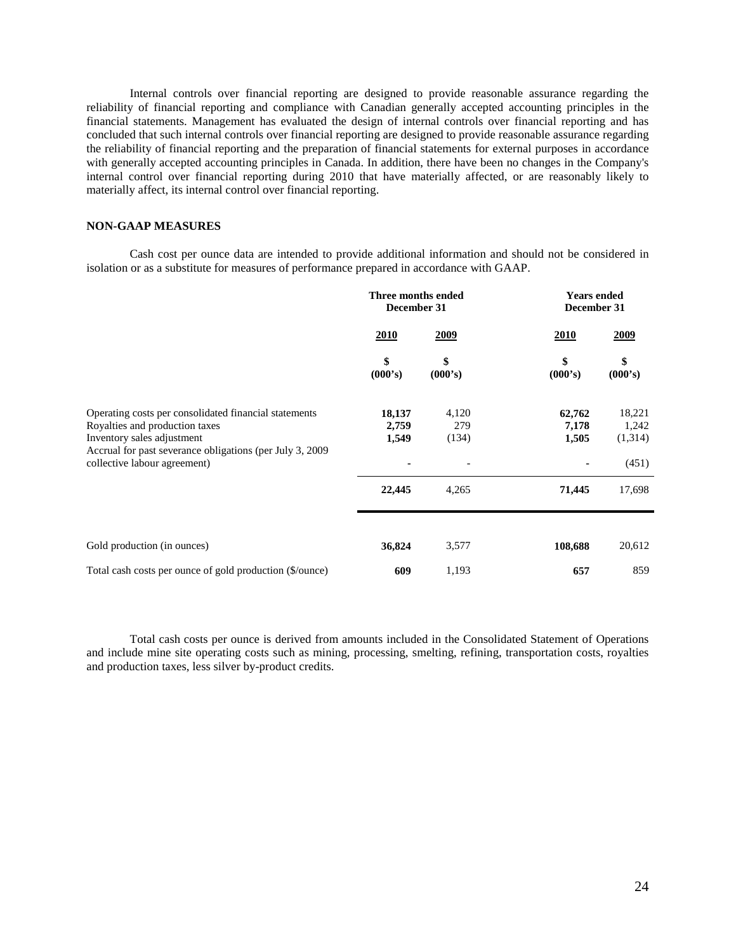Internal controls over financial reporting are designed to provide reasonable assurance regarding the reliability of financial reporting and compliance with Canadian generally accepted accounting principles in the financial statements. Management has evaluated the design of internal controls over financial reporting and has concluded that such internal controls over financial reporting are designed to provide reasonable assurance regarding the reliability of financial reporting and the preparation of financial statements for external purposes in accordance with generally accepted accounting principles in Canada. In addition, there have been no changes in the Company's internal control over financial reporting during 2010 that have materially affected, or are reasonably likely to materially affect, its internal control over financial reporting.

## **NON-GAAP MEASURES**

Cash cost per ounce data are intended to provide additional information and should not be considered in isolation or as a substitute for measures of performance prepared in accordance with GAAP.

|                                                                                                                                                                                    | Three months ended<br>December 31 |                       | <b>Years ended</b><br>December 31 |                            |
|------------------------------------------------------------------------------------------------------------------------------------------------------------------------------------|-----------------------------------|-----------------------|-----------------------------------|----------------------------|
|                                                                                                                                                                                    | <u>2010</u>                       | <u>2009</u>           | <u>2010</u>                       | <u>2009</u>                |
|                                                                                                                                                                                    | \$<br>(000's)                     | \$<br>(000's)         | \$<br>(000's)                     | \$<br>(000's)              |
| Operating costs per consolidated financial statements<br>Royalties and production taxes<br>Inventory sales adjustment<br>Accrual for past severance obligations (per July 3, 2009) | 18,137<br>2,759<br>1,549          | 4,120<br>279<br>(134) | 62,762<br>7,178<br>1,505          | 18,221<br>1,242<br>(1,314) |
| collective labour agreement)                                                                                                                                                       | 22,445                            | 4,265                 | 71,445                            | (451)<br>17,698            |
| Gold production (in ounces)                                                                                                                                                        | 36,824                            | 3,577                 | 108,688                           | 20,612                     |
| Total cash costs per ounce of gold production (\$/ounce)                                                                                                                           | 609                               | 1,193                 | 657                               | 859                        |

Total cash costs per ounce is derived from amounts included in the Consolidated Statement of Operations and include mine site operating costs such as mining, processing, smelting, refining, transportation costs, royalties and production taxes, less silver by-product credits.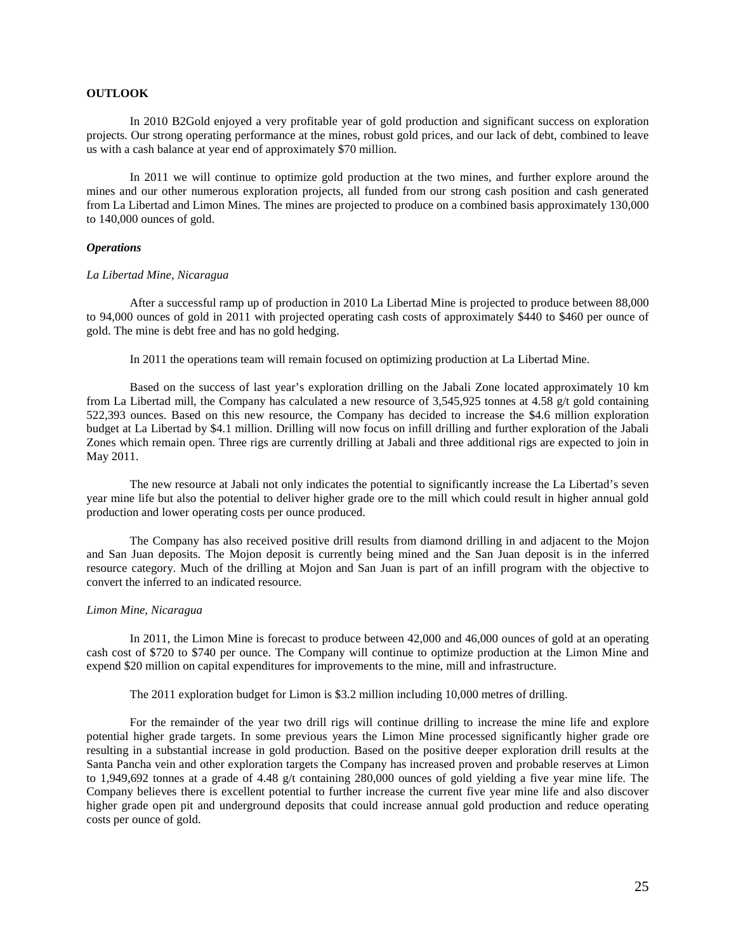## **OUTLOOK**

In 2010 B2Gold enjoyed a very profitable year of gold production and significant success on exploration projects. Our strong operating performance at the mines, robust gold prices, and our lack of debt, combined to leave us with a cash balance at year end of approximately \$70 million.

In 2011 we will continue to optimize gold production at the two mines, and further explore around the mines and our other numerous exploration projects, all funded from our strong cash position and cash generated from La Libertad and Limon Mines. The mines are projected to produce on a combined basis approximately 130,000 to 140,000 ounces of gold.

### *Operations*

#### *La Libertad Mine, Nicaragua*

After a successful ramp up of production in 2010 La Libertad Mine is projected to produce between 88,000 to 94,000 ounces of gold in 2011 with projected operating cash costs of approximately \$440 to \$460 per ounce of gold. The mine is debt free and has no gold hedging.

In 2011 the operations team will remain focused on optimizing production at La Libertad Mine.

Based on the success of last year's exploration drilling on the Jabali Zone located approximately 10 km from La Libertad mill, the Company has calculated a new resource of 3,545,925 tonnes at 4.58 g/t gold containing 522,393 ounces. Based on this new resource, the Company has decided to increase the \$4.6 million exploration budget at La Libertad by \$4.1 million. Drilling will now focus on infill drilling and further exploration of the Jabali Zones which remain open. Three rigs are currently drilling at Jabali and three additional rigs are expected to join in May 2011.

The new resource at Jabali not only indicates the potential to significantly increase the La Libertad's seven year mine life but also the potential to deliver higher grade ore to the mill which could result in higher annual gold production and lower operating costs per ounce produced.

The Company has also received positive drill results from diamond drilling in and adjacent to the Mojon and San Juan deposits. The Mojon deposit is currently being mined and the San Juan deposit is in the inferred resource category. Much of the drilling at Mojon and San Juan is part of an infill program with the objective to convert the inferred to an indicated resource.

#### *Limon Mine, Nicaragua*

In 2011, the Limon Mine is forecast to produce between 42,000 and 46,000 ounces of gold at an operating cash cost of \$720 to \$740 per ounce. The Company will continue to optimize production at the Limon Mine and expend \$20 million on capital expenditures for improvements to the mine, mill and infrastructure.

### The 2011 exploration budget for Limon is \$3.2 million including 10,000 metres of drilling.

For the remainder of the year two drill rigs will continue drilling to increase the mine life and explore potential higher grade targets. In some previous years the Limon Mine processed significantly higher grade ore resulting in a substantial increase in gold production. Based on the positive deeper exploration drill results at the Santa Pancha vein and other exploration targets the Company has increased proven and probable reserves at Limon to 1,949,692 tonnes at a grade of 4.48 g/t containing 280,000 ounces of gold yielding a five year mine life. The Company believes there is excellent potential to further increase the current five year mine life and also discover higher grade open pit and underground deposits that could increase annual gold production and reduce operating costs per ounce of gold.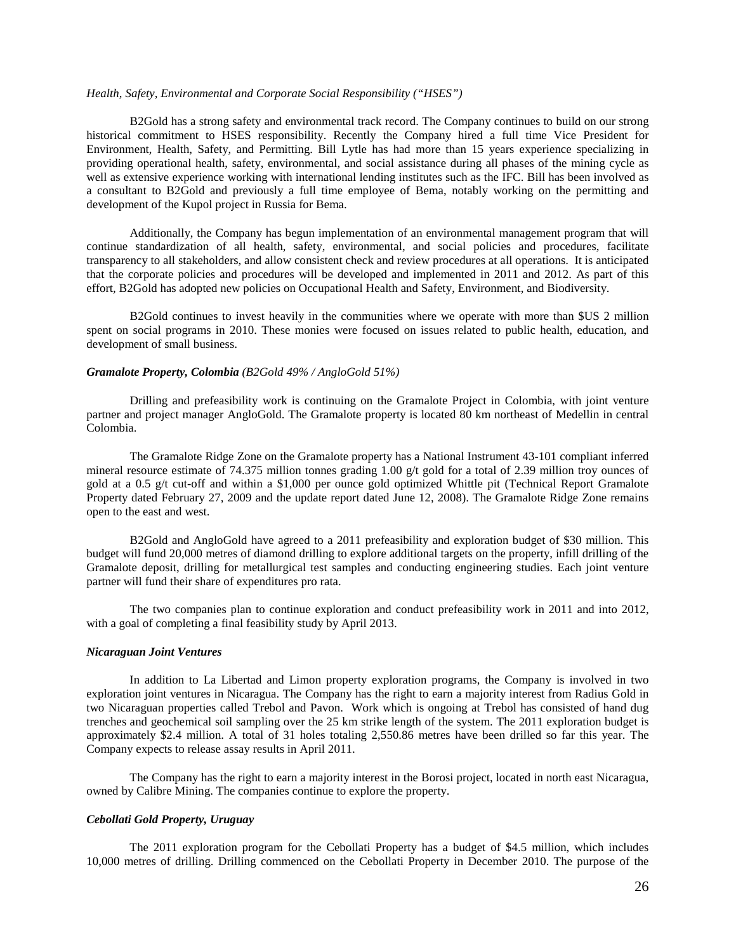## *Health, Safety, Environmental and Corporate Social Responsibility ("HSES")*

B2Gold has a strong safety and environmental track record. The Company continues to build on our strong historical commitment to HSES responsibility. Recently the Company hired a full time Vice President for Environment, Health, Safety, and Permitting. Bill Lytle has had more than 15 years experience specializing in providing operational health, safety, environmental, and social assistance during all phases of the mining cycle as well as extensive experience working with international lending institutes such as the IFC. Bill has been involved as a consultant to B2Gold and previously a full time employee of Bema, notably working on the permitting and development of the Kupol project in Russia for Bema.

Additionally, the Company has begun implementation of an environmental management program that will continue standardization of all health, safety, environmental, and social policies and procedures, facilitate transparency to all stakeholders, and allow consistent check and review procedures at all operations. It is anticipated that the corporate policies and procedures will be developed and implemented in 2011 and 2012. As part of this effort, B2Gold has adopted new policies on Occupational Health and Safety, Environment, and Biodiversity.

B2Gold continues to invest heavily in the communities where we operate with more than \$US 2 million spent on social programs in 2010. These monies were focused on issues related to public health, education, and development of small business.

## *Gramalote Property, Colombia (B2Gold 49% / AngloGold 51%)*

Drilling and prefeasibility work is continuing on the Gramalote Project in Colombia, with joint venture partner and project manager AngloGold. The Gramalote property is located 80 km northeast of Medellin in central Colombia.

The Gramalote Ridge Zone on the Gramalote property has a National Instrument 43-101 compliant inferred mineral resource estimate of 74.375 million tonnes grading 1.00 g/t gold for a total of 2.39 million troy ounces of gold at a 0.5 g/t cut-off and within a \$1,000 per ounce gold optimized Whittle pit (Technical Report Gramalote Property dated February 27, 2009 and the update report dated June 12, 2008). The Gramalote Ridge Zone remains open to the east and west.

B2Gold and AngloGold have agreed to a 2011 prefeasibility and exploration budget of \$30 million. This budget will fund 20,000 metres of diamond drilling to explore additional targets on the property, infill drilling of the Gramalote deposit, drilling for metallurgical test samples and conducting engineering studies. Each joint venture partner will fund their share of expenditures pro rata.

The two companies plan to continue exploration and conduct prefeasibility work in 2011 and into 2012, with a goal of completing a final feasibility study by April 2013.

#### *Nicaraguan Joint Ventures*

In addition to La Libertad and Limon property exploration programs, the Company is involved in two exploration joint ventures in Nicaragua. The Company has the right to earn a majority interest from Radius Gold in two Nicaraguan properties called Trebol and Pavon. Work which is ongoing at Trebol has consisted of hand dug trenches and geochemical soil sampling over the 25 km strike length of the system. The 2011 exploration budget is approximately \$2.4 million. A total of 31 holes totaling 2,550.86 metres have been drilled so far this year. The Company expects to release assay results in April 2011.

The Company has the right to earn a majority interest in the Borosi project, located in north east Nicaragua, owned by Calibre Mining. The companies continue to explore the property.

## *Cebollati Gold Property, Uruguay*

The 2011 exploration program for the Cebollati Property has a budget of \$4.5 million, which includes 10,000 metres of drilling. Drilling commenced on the Cebollati Property in December 2010. The purpose of the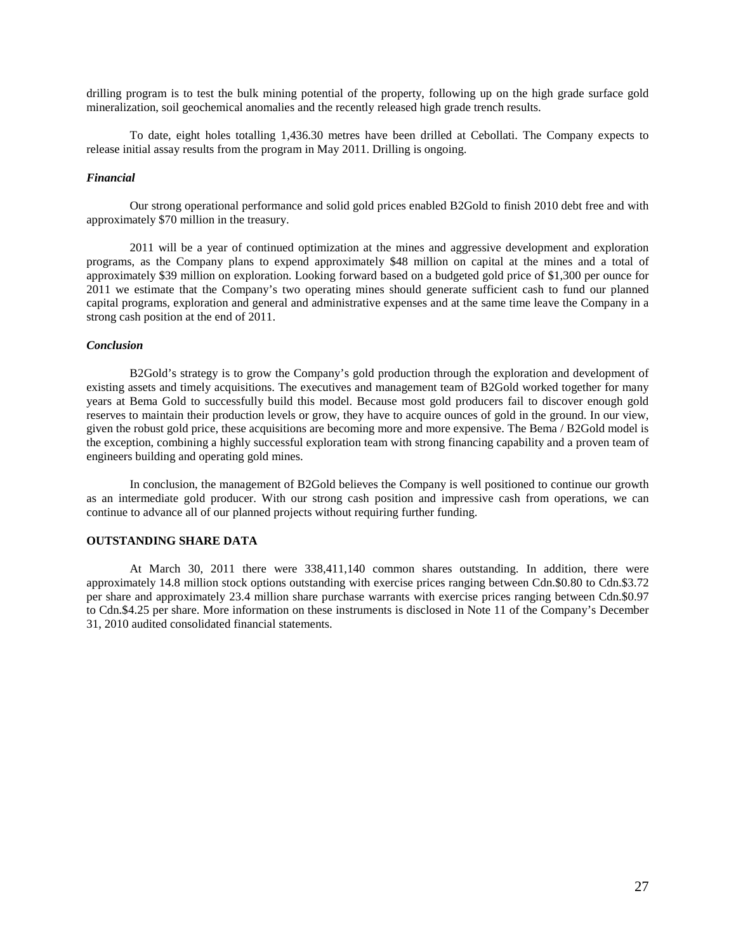drilling program is to test the bulk mining potential of the property, following up on the high grade surface gold mineralization, soil geochemical anomalies and the recently released high grade trench results.

To date, eight holes totalling 1,436.30 metres have been drilled at Cebollati. The Company expects to release initial assay results from the program in May 2011. Drilling is ongoing.

### *Financial*

Our strong operational performance and solid gold prices enabled B2Gold to finish 2010 debt free and with approximately \$70 million in the treasury.

2011 will be a year of continued optimization at the mines and aggressive development and exploration programs, as the Company plans to expend approximately \$48 million on capital at the mines and a total of approximately \$39 million on exploration. Looking forward based on a budgeted gold price of \$1,300 per ounce for 2011 we estimate that the Company's two operating mines should generate sufficient cash to fund our planned capital programs, exploration and general and administrative expenses and at the same time leave the Company in a strong cash position at the end of 2011.

### *Conclusion*

B2Gold's strategy is to grow the Company's gold production through the exploration and development of existing assets and timely acquisitions. The executives and management team of B2Gold worked together for many years at Bema Gold to successfully build this model. Because most gold producers fail to discover enough gold reserves to maintain their production levels or grow, they have to acquire ounces of gold in the ground. In our view, given the robust gold price, these acquisitions are becoming more and more expensive. The Bema / B2Gold model is the exception, combining a highly successful exploration team with strong financing capability and a proven team of engineers building and operating gold mines.

In conclusion, the management of B2Gold believes the Company is well positioned to continue our growth as an intermediate gold producer. With our strong cash position and impressive cash from operations, we can continue to advance all of our planned projects without requiring further funding.

### **OUTSTANDING SHARE DATA**

At March 30, 2011 there were 338,411,140 common shares outstanding. In addition, there were approximately 14.8 million stock options outstanding with exercise prices ranging between Cdn.\$0.80 to Cdn.\$3.72 per share and approximately 23.4 million share purchase warrants with exercise prices ranging between Cdn.\$0.97 to Cdn.\$4.25 per share. More information on these instruments is disclosed in Note 11 of the Company's December 31, 2010 audited consolidated financial statements.